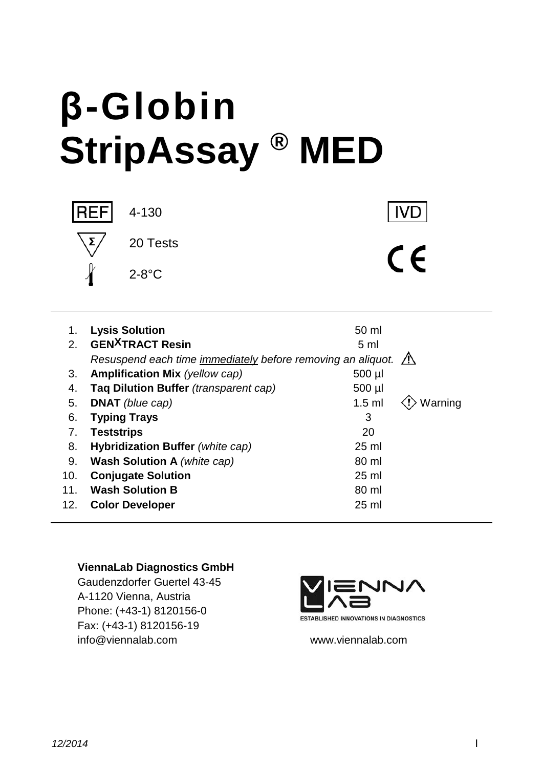# **β-Globin StripAssay ® MED**



20 Tests

**IVD** 

 $C\epsilon$ 

1. **Lysis Solution** 50 ml 2. **GEN<sup>X</sup>TRACT Resin** 5 ml *Resuspend each time immediately before removing an aliquot.* 3. **Amplification Mix** (yellow cap) 500 µl 4. **Taq Dilution Buffer** *(transparent cap)* 500 µl 5. **DNAT** *(blue cap)* 1.5 ml  $\langle \cdot \rangle$  Warning 6. **Typing Trays** 3 7. **Teststrips** 20 8. **Hybridization Buffer** *(white cap)* 25 ml 9. **Wash Solution A** *(white cap)* 80 ml 10. **Conjugate Solution** 25 ml 11. **Wash Solution B** 80 ml 12. **Color Developer** 25 ml

#### **ViennaLab Diagnostics GmbH**

Gaudenzdorfer Guertel 43-45 A-1120 Vienna, Austria Phone: (+43-1) 8120156-0 Fax: (+43-1) 8120156-19 info@viennalab.com www.viennalab.com



**ESTABLISHED INNOVATIONS IN DIAGNOSTICS**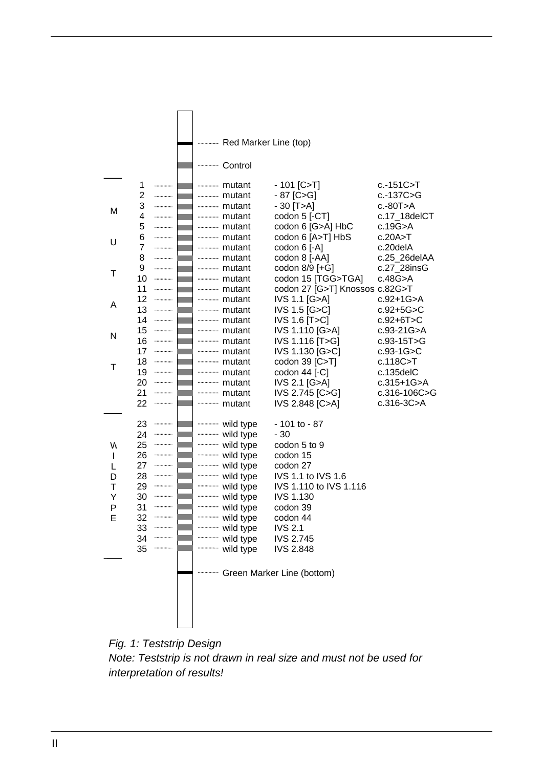

*Fig. 1: Teststrip Design Note: Teststrip is not drawn in real size and must not be used for interpretation of results!*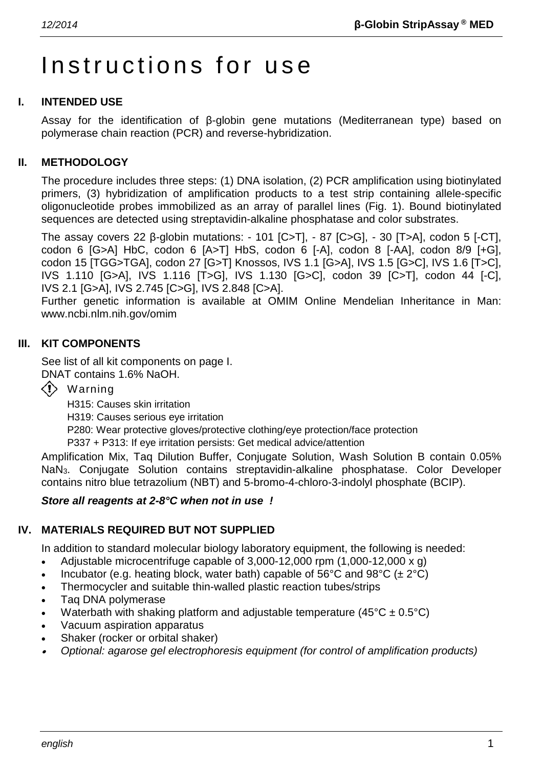# Instructions for use

# **I. INTENDED USE**

Assay for the identification of β-globin gene mutations (Mediterranean type) based on polymerase chain reaction (PCR) and reverse-hybridization.

# **II. METHODOLOGY**

The procedure includes three steps: (1) DNA isolation, (2) PCR amplification using biotinylated primers, (3) hybridization of amplification products to a test strip containing allele-specific oligonucleotide probes immobilized as an array of parallel lines (Fig. 1). Bound biotinylated sequences are detected using streptavidin-alkaline phosphatase and color substrates.

The assay covers 22 β-globin mutations: - 101 [C>T], - 87 [C>G], - 30 [T>A], codon 5 [-CT], codon 6 [G>A] HbC, codon 6 [A>T] HbS, codon 6 [-A], codon 8 [-AA], codon 8/9 [+G], codon 15 [TGG>TGA], codon 27 [G>T] Knossos, IVS 1.1 [G>A], IVS 1.5 [G>C], IVS 1.6 [T>C], IVS 1.110 [G>A], IVS 1.116 [T>G], IVS 1.130 [G>C], codon 39 [C>T], codon 44 [-C], IVS 2.1 [G>A], IVS 2.745 [C>G], IVS 2.848 [C>A].

Further genetic information is available at OMIM Online Mendelian Inheritance in Man: www.ncbi.nlm.nih.gov/omim

# **III. KIT COMPONENTS**

See list of all kit components on page I.

DNAT contains 1.6% NaOH.

Warning

H315: Causes skin irritation

H319: Causes serious eye irritation

P280: Wear protective gloves/protective clothing/eye protection/face protection

P337 + P313: If eye irritation persists: Get medical advice/attention

Amplification Mix, Taq Dilution Buffer, Conjugate Solution, Wash Solution B contain 0.05% NaN3. Conjugate Solution contains streptavidin-alkaline phosphatase. Color Developer contains nitro blue tetrazolium (NBT) and 5-bromo-4-chloro-3-indolyl phosphate (BCIP).

#### *Store all reagents at 2-8°C when not in use !*

# **IV. MATERIALS REQUIRED BUT NOT SUPPLIED**

In addition to standard molecular biology laboratory equipment, the following is needed:

- Adjustable microcentrifuge capable of 3,000-12,000 rpm (1,000-12,000 x g)
- Incubator (e.g. heating block, water bath) capable of 56°C and 98°C ( $\pm 2$ °C)
- Thermocycler and suitable thin-walled plastic reaction tubes/strips
- Taq DNA polymerase
- Waterbath with shaking platform and adjustable temperature  $(45^{\circ}C \pm 0.5^{\circ}C)$
- Vacuum aspiration apparatus
- Shaker (rocker or orbital shaker)
- •*Optional: agarose gel electrophoresis equipment (for control of amplification products)*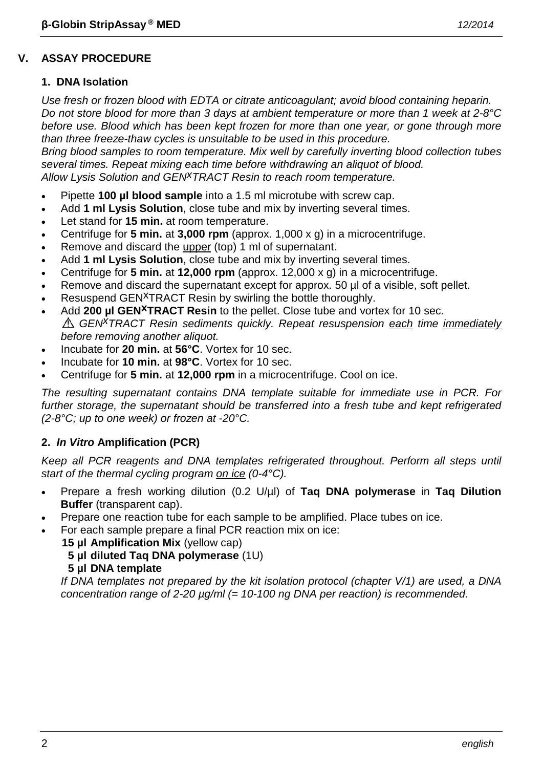# **V. ASSAY PROCEDURE**

# **1. DNA Isolation**

*Use fresh or frozen blood with EDTA or citrate anticoagulant; avoid blood containing heparin. Do not store blood for more than 3 days at ambient temperature or more than 1 week at 2-8°C before use. Blood which has been kept frozen for more than one year, or gone through more than three freeze-thaw cycles is unsuitable to be used in this procedure.*

*Bring blood samples to room temperature. Mix well by carefully inverting blood collection tubes several times. Repeat mixing each time before withdrawing an aliquot of blood. Allow Lysis Solution and GENxTRACT Resin to reach room temperature.*

- Pipette **100 µl blood sample** into a 1.5 ml microtube with screw cap.
- Add **1 ml Lysis Solution**, close tube and mix by inverting several times.
- Let stand for **15 min.** at room temperature.
- Centrifuge for **5 min.** at **3,000 rpm** (approx. 1,000 x g) in a microcentrifuge.
- Remove and discard the upper (top) 1 ml of supernatant.
- Add **1 ml Lysis Solution**, close tube and mix by inverting several times.
- Centrifuge for **5 min.** at **12,000 rpm** (approx. 12,000 x g) in a microcentrifuge.
- Remove and discard the supernatant except for approx. 50  $\mu$  of a visible, soft pellet.
- Resuspend GEN<sup>X</sup>TRACT Resin by swirling the bottle thoroughly.
- Add **200 µl GEN<sup>X</sup>TRACT Resin** to the pellet. Close tube and vortex for 10 sec. *GENxTRACT Resin sediments quickly. Repeat resuspension each time immediately before removing another aliquot.*
- Incubate for **20 min.** at **56°C**. Vortex for 10 sec.
- Incubate for **10 min.** at **98°C**. Vortex for 10 sec.
- Centrifuge for **5 min.** at **12,000 rpm** in a microcentrifuge. Cool on ice.

*The resulting supernatant contains DNA template suitable for immediate use in PCR. For further storage, the supernatant should be transferred into a fresh tube and kept refrigerated (2-8°C; up to one week) or frozen at -20°C.*

# **2.** *In Vitro* **Amplification (PCR)**

*Keep all PCR reagents and DNA templates refrigerated throughout. Perform all steps until start of the thermal cycling program on ice (0-4°C).*

- Prepare a fresh working dilution (0.2 U/µl) of **Taq DNA polymerase** in **Taq Dilution Buffer** (transparent cap).
- Prepare one reaction tube for each sample to be amplified. Place tubes on ice.
- For each sample prepare a final PCR reaction mix on ice:
	- **15 µl Amplification Mix** (yellow cap)
	- **5 µl diluted Taq DNA polymerase** (1U)
	- **5 µl DNA template**

*If DNA templates not prepared by the kit isolation protocol (chapter V/1) are used, a DNA concentration range of 2-20 µg/ml (= 10-100 ng DNA per reaction) is recommended.*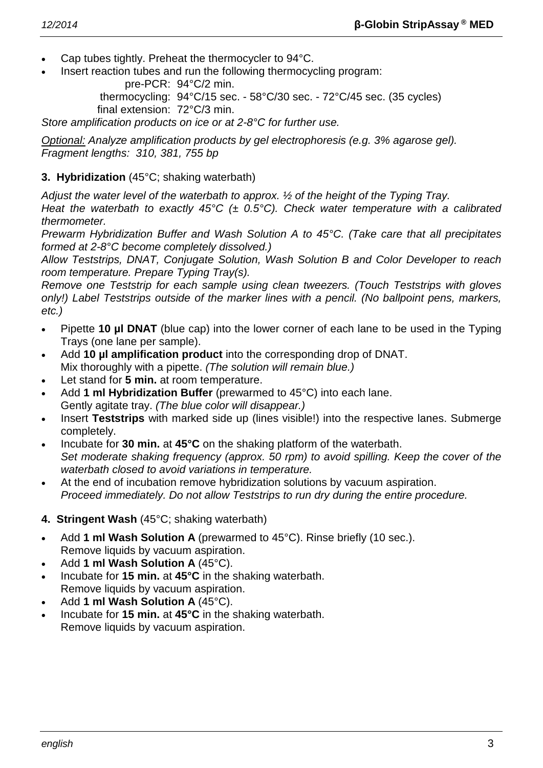- Cap tubes tightly. Preheat the thermocycler to 94°C.
- Insert reaction tubes and run the following thermocycling program:

pre-PCR: 94°C/2 min.

thermocycling: 94°C/15 sec. - 58°C/30 sec. - 72°C/45 sec. (35 cycles) final extension: 72°C/3 min.

*Store amplification products on ice or at 2-8°C for further use.*

*Optional: Analyze amplification products by gel electrophoresis (e.g. 3% agarose gel). Fragment lengths: 310, 381, 755 bp*

# **3. Hybridization** (45°C; shaking waterbath)

*Adjust the water level of the waterbath to approx. ½ of the height of the Typing Tray.*

*Heat the waterbath to exactly 45°C (± 0.5°C). Check water temperature with a calibrated thermometer.*

*Prewarm Hybridization Buffer and Wash Solution A to 45°C. (Take care that all precipitates formed at 2-8°C become completely dissolved.)*

*Allow Teststrips, DNAT, Conjugate Solution, Wash Solution B and Color Developer to reach room temperature. Prepare Typing Tray(s).*

*Remove one Teststrip for each sample using clean tweezers. (Touch Teststrips with gloves only!) Label Teststrips outside of the marker lines with a pencil. (No ballpoint pens, markers, etc.)*

- Pipette **10 µl DNAT** (blue cap) into the lower corner of each lane to be used in the Typing Trays (one lane per sample).
- Add **10 µl amplification product** into the corresponding drop of DNAT. Mix thoroughly with a pipette. *(The solution will remain blue.)*
- Let stand for 5 min. at room temperature.
- Add **1 ml Hybridization Buffer** (prewarmed to 45°C) into each lane. Gently agitate tray. *(The blue color will disappear.)*
- Insert **Teststrips** with marked side up (lines visible!) into the respective lanes. Submerge completely.
- Incubate for **30 min.** at **45°C** on the shaking platform of the waterbath. *Set moderate shaking frequency (approx. 50 rpm) to avoid spilling. Keep the cover of the waterbath closed to avoid variations in temperature.*
- At the end of incubation remove hybridization solutions by vacuum aspiration. *Proceed immediately. Do not allow Teststrips to run dry during the entire procedure.*
- **4. Stringent Wash** (45°C; shaking waterbath)
- Add **1 ml Wash Solution A** (prewarmed to 45°C). Rinse briefly (10 sec.). Remove liquids by vacuum aspiration.
- Add **1 ml Wash Solution A** (45°C).
- Incubate for **15 min.** at **45°C** in the shaking waterbath. Remove liquids by vacuum aspiration.
- Add **1 ml Wash Solution A** (45°C).
- Incubate for **15 min.** at **45°C** in the shaking waterbath. Remove liquids by vacuum aspiration.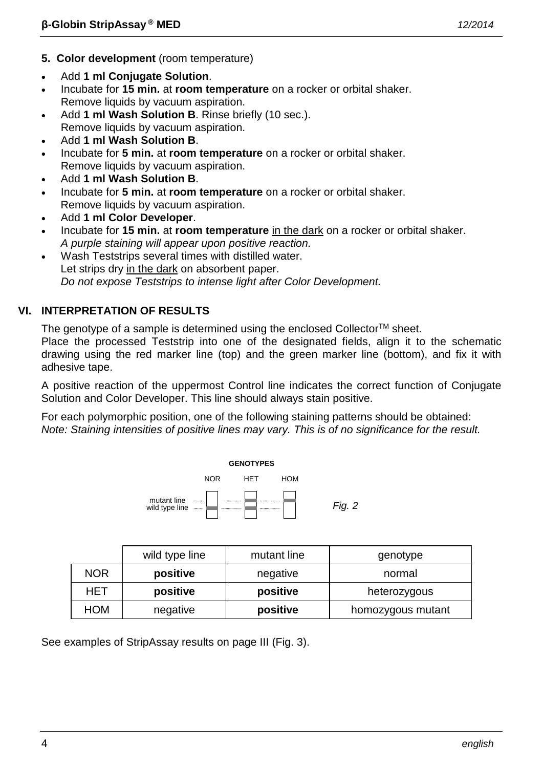- **5. Color development** (room temperature)
- Add **1 ml Conjugate Solution**.
- Incubate for **15 min.** at **room temperature** on a rocker or orbital shaker. Remove liquids by vacuum aspiration.
- Add **1 ml Wash Solution B**. Rinse briefly (10 sec.). Remove liquids by vacuum aspiration.
- Add **1 ml Wash Solution B**.
- Incubate for **5 min.** at **room temperature** on a rocker or orbital shaker. Remove liquids by vacuum aspiration.
- Add **1 ml Wash Solution B**.
- Incubate for **5 min.** at **room temperature** on a rocker or orbital shaker. Remove liquids by vacuum aspiration.
- Add **1 ml Color Developer**.
- Incubate for **15 min.** at **room temperature** in the dark on a rocker or orbital shaker. *A purple staining will appear upon positive reaction.*
- Wash Teststrips several times with distilled water. Let strips dry in the dark on absorbent paper. *Do not expose Teststrips to intense light after Color Development.*

# **VI. INTERPRETATION OF RESULTS**

The genotype of a sample is determined using the enclosed Collector<sup>TM</sup> sheet.

Place the processed Teststrip into one of the designated fields, align it to the schematic drawing using the red marker line (top) and the green marker line (bottom), and fix it with adhesive tape.

A positive reaction of the uppermost Control line indicates the correct function of Conjugate Solution and Color Developer. This line should always stain positive.

For each polymorphic position, one of the following staining patterns should be obtained: *Note: Staining intensities of positive lines may vary. This is of no significance for the result.*



|            | wild type line | mutant line | genotype          |
|------------|----------------|-------------|-------------------|
| <b>NOR</b> | positive       | negative    | normal            |
| HET        | positive       | positive    | heterozygous      |
| HOM        | negative       | positive    | homozygous mutant |

See examples of StripAssay results on page III (Fig. 3).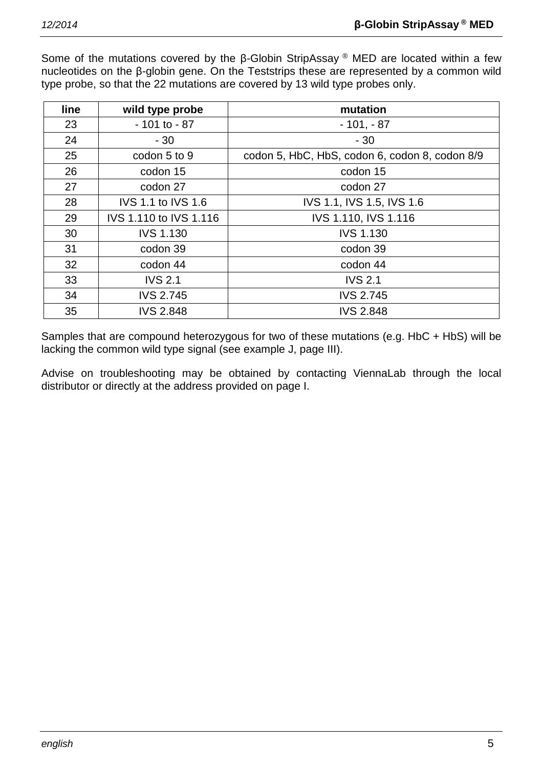Some of the mutations covered by the β-Globin StripAssay ® MED are located within a few nucleotides on the β-globin gene. On the Teststrips these are represented by a common wild type probe, so that the 22 mutations are covered by 13 wild type probes only.

| line | wild type probe           | mutation                                       |
|------|---------------------------|------------------------------------------------|
| 23   | $-101$ to $-87$           | $-101, -87$                                    |
| 24   | $-30$                     | $-30$                                          |
| 25   | codon 5 to 9              | codon 5, HbC, HbS, codon 6, codon 8, codon 8/9 |
| 26   | codon 15                  | codon 15                                       |
| 27   | codon 27                  | codon 27                                       |
| 28   | <b>IVS 1.1 to IVS 1.6</b> | IVS 1.1, IVS 1.5, IVS 1.6                      |
| 29   | IVS 1.110 to IVS 1.116    | IVS 1.110, IVS 1.116                           |
| 30   | <b>IVS 1.130</b>          | <b>IVS 1.130</b>                               |
| 31   | codon 39                  | codon 39                                       |
| 32   | codon 44                  | codon 44                                       |
| 33   | <b>IVS 2.1</b>            | <b>IVS 2.1</b>                                 |
| 34   | <b>IVS 2.745</b>          | <b>IVS 2.745</b>                               |
| 35   | <b>IVS 2.848</b>          | <b>IVS 2.848</b>                               |

Samples that are compound heterozygous for two of these mutations (e.g. HbC + HbS) will be lacking the common wild type signal (see example J, page III).

Advise on troubleshooting may be obtained by contacting ViennaLab through the local distributor or directly at the address provided on page I.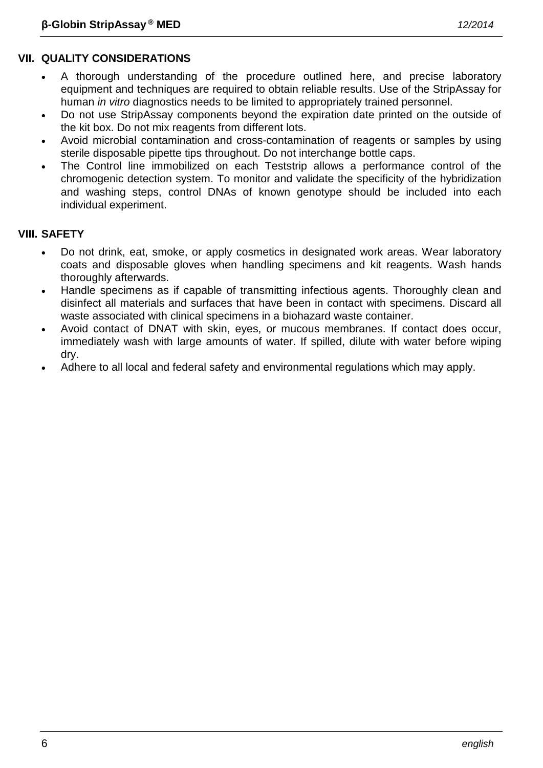- A thorough understanding of the procedure outlined here, and precise laboratory equipment and techniques are required to obtain reliable results. Use of the StripAssay for human *in vitro* diagnostics needs to be limited to appropriately trained personnel.
- Do not use StripAssay components beyond the expiration date printed on the outside of the kit box. Do not mix reagents from different lots.
- Avoid microbial contamination and cross-contamination of reagents or samples by using sterile disposable pipette tips throughout. Do not interchange bottle caps.
- The Control line immobilized on each Teststrip allows a performance control of the chromogenic detection system. To monitor and validate the specificity of the hybridization and washing steps, control DNAs of known genotype should be included into each individual experiment.

# **VIII. SAFETY**

- Do not drink, eat, smoke, or apply cosmetics in designated work areas. Wear laboratory coats and disposable gloves when handling specimens and kit reagents. Wash hands thoroughly afterwards.
- Handle specimens as if capable of transmitting infectious agents. Thoroughly clean and disinfect all materials and surfaces that have been in contact with specimens. Discard all waste associated with clinical specimens in a biohazard waste container.
- Avoid contact of DNAT with skin, eyes, or mucous membranes. If contact does occur, immediately wash with large amounts of water. If spilled, dilute with water before wiping dry.
- Adhere to all local and federal safety and environmental regulations which may apply.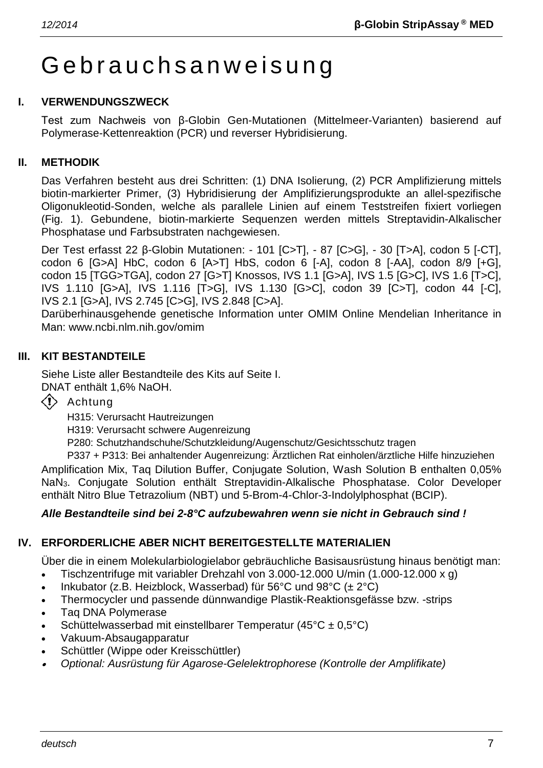# Gebrauchsanweisung

# **I. VERWENDUNGSZWECK**

Test zum Nachweis von β-Globin Gen-Mutationen (Mittelmeer-Varianten) basierend auf Polymerase-Kettenreaktion (PCR) und reverser Hybridisierung.

#### **II. METHODIK**

Das Verfahren besteht aus drei Schritten: (1) DNA Isolierung, (2) PCR Amplifizierung mittels biotin-markierter Primer, (3) Hybridisierung der Amplifizierungsprodukte an allel-spezifische Oligonukleotid-Sonden, welche als parallele Linien auf einem Teststreifen fixiert vorliegen (Fig. 1). Gebundene, biotin-markierte Sequenzen werden mittels Streptavidin-Alkalischer Phosphatase und Farbsubstraten nachgewiesen.

Der Test erfasst 22 β-Globin Mutationen: - 101 [C>T], - 87 [C>G], - 30 [T>A], codon 5 [-CT], codon 6 [G>A] HbC, codon 6 [A>T] HbS, codon 6 [-A], codon 8 [-AA], codon 8/9 [+G], codon 15 [TGG>TGA], codon 27 [G>T] Knossos, IVS 1.1 [G>A], IVS 1.5 [G>C], IVS 1.6 [T>C], IVS 1.110 [G>A], IVS 1.116 [T>G], IVS 1.130 [G>C], codon 39 [C>T], codon 44 [-C], IVS 2.1 [G>A], IVS 2.745 [C>G], IVS 2.848 [C>A].

Darüberhinausgehende genetische Information unter OMIM Online Mendelian Inheritance in Man: www.ncbi.nlm.nih.gov/omim

# **III. KIT BESTANDTEILE**

Siehe Liste aller Bestandteile des Kits auf Seite I. DNAT enthält 1,6% NaOH.

 $\langle \cdot \rangle$  Achtung

H315: Verursacht Hautreizungen

H319: Verursacht schwere Augenreizung

P280: Schutzhandschuhe/Schutzkleidung/Augenschutz/Gesichtsschutz tragen

P337 + P313: Bei anhaltender Augenreizung: Ärztlichen Rat einholen/ärztliche Hilfe hinzuziehen Amplification Mix, Taq Dilution Buffer, Conjugate Solution, Wash Solution B enthalten 0,05% NaN3. Conjugate Solution enthält Streptavidin-Alkalische Phosphatase. Color Developer enthält Nitro Blue Tetrazolium (NBT) und 5-Brom-4-Chlor-3-Indolylphosphat (BCIP).

# *Alle Bestandteile sind bei 2-8°C aufzubewahren wenn sie nicht in Gebrauch sind !*

# **IV. ERFORDERLICHE ABER NICHT BEREITGESTELLTE MATERIALIEN**

Über die in einem Molekularbiologielabor gebräuchliche Basisausrüstung hinaus benötigt man:

- Tischzentrifuge mit variabler Drehzahl von 3.000-12.000 U/min (1.000-12.000 x g)
- Inkubator (z.B. Heizblock, Wasserbad) für 56°C und 98°C (± 2°C)
- Thermocycler und passende dünnwandige Plastik-Reaktionsgefässe bzw. -strips
- Taq DNA Polymerase
- Schüttelwasserbad mit einstellbarer Temperatur (45 $\textdegree$ C ± 0,5 $\textdegree$ C)
- Vakuum-Absaugapparatur
- Schüttler (Wippe oder Kreisschüttler)
- •*Optional: Ausrüstung für Agarose-Gelelektrophorese (Kontrolle der Amplifikate)*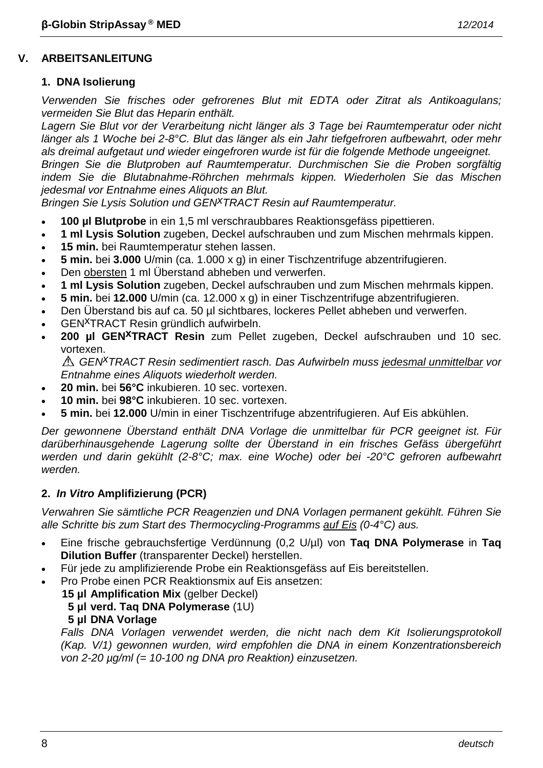# **V. ARBEITSANLEITUNG**

# **1. DNA Isolierung**

*Verwenden Sie frisches oder gefrorenes Blut mit EDTA oder Zitrat als Antikoagulans; vermeiden Sie Blut das Heparin enthält.*

*Lagern Sie Blut vor der Verarbeitung nicht länger als 3 Tage bei Raumtemperatur oder nicht länger als 1 Woche bei 2-8°C. Blut das länger als ein Jahr tiefgefroren aufbewahrt, oder mehr als dreimal aufgetaut und wieder eingefroren wurde ist für die folgende Methode ungeeignet. Bringen Sie die Blutproben auf Raumtemperatur. Durchmischen Sie die Proben sorgfältig indem Sie die Blutabnahme-Röhrchen mehrmals kippen. Wiederholen Sie das Mischen* 

*jedesmal vor Entnahme eines Aliquots an Blut. Bringen Sie Lysis Solution und GENxTRACT Resin auf Raumtemperatur.*

- **100 µl Blutprobe** in ein 1,5 ml verschraubbares Reaktionsgefäss pipettieren.
- **1 ml Lysis Solution** zugeben, Deckel aufschrauben und zum Mischen mehrmals kippen.
- **15 min.** bei Raumtemperatur stehen lassen.
- **5 min.** bei **3.000** U/min (ca. 1.000 x g) in einer Tischzentrifuge abzentrifugieren.
- Den obersten 1 ml Überstand abheben und verwerfen.
- **1 ml Lysis Solution** zugeben, Deckel aufschrauben und zum Mischen mehrmals kippen.
- **5 min.** bei **12.000** U/min (ca. 12.000 x g) in einer Tischzentrifuge abzentrifugieren.
- Den Überstand bis auf ca. 50 µl sichtbares, lockeres Pellet abheben und verwerfen.
- GENxTRACT Resin gründlich aufwirbeln.
- **200 µl GENxTRACT Resin** zum Pellet zugeben, Deckel aufschrauben und 10 sec. vortexen.

*GENxTRACT Resin sedimentiert rasch. Das Aufwirbeln muss jedesmal unmittelbar vor Entnahme eines Aliquots wiederholt werden.*

- **20 min.** bei **56°C** inkubieren. 10 sec. vortexen.
- **10 min.** bei **98°C** inkubieren. 10 sec. vortexen.
- **5 min.** bei **12.000** U/min in einer Tischzentrifuge abzentrifugieren. Auf Eis abkühlen.

*Der gewonnene Überstand enthält DNA Vorlage die unmittelbar für PCR geeignet ist. Für darüberhinausgehende Lagerung sollte der Überstand in ein frisches Gefäss übergeführt werden und darin gekühlt (2-8°C; max. eine Woche) oder bei -20°C gefroren aufbewahrt werden.*

# **2.** *In Vitro* **Amplifizierung (PCR)**

*Verwahren Sie sämtliche PCR Reagenzien und DNA Vorlagen permanent gekühlt. Führen Sie alle Schritte bis zum Start des Thermocycling-Programms auf Eis (0-4°C) aus.*

- Eine frische gebrauchsfertige Verdünnung (0,2 U/µl) von **Taq DNA Polymerase** in **Taq Dilution Buffer** (transparenter Deckel) herstellen.
- Für jede zu amplifizierende Probe ein Reaktionsgefäss auf Eis bereitstellen.
- Pro Probe einen PCR Reaktionsmix auf Eis ansetzen:
	- **15 µl Amplification Mix** (gelber Deckel)
		- **5 µl verd. Taq DNA Polymerase** (1U)
		- **5 µl DNA Vorlage**

*Falls DNA Vorlagen verwendet werden, die nicht nach dem Kit Isolierungsprotokoll (Kap. V/1) gewonnen wurden, wird empfohlen die DNA in einem Konzentrationsbereich von 2-20 µg/ml (= 10-100 ng DNA pro Reaktion) einzusetzen.*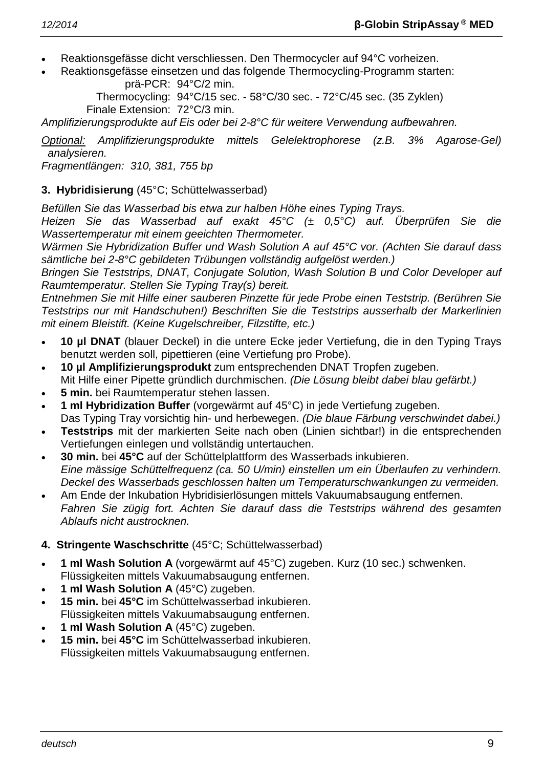- Reaktionsgefässe dicht verschliessen. Den Thermocycler auf 94°C vorheizen.
- Reaktionsgefässe einsetzen und das folgende Thermocycling-Programm starten: prä-PCR: 94°C/2 min.

Thermocycling: 94°C/15 sec. - 58°C/30 sec. - 72°C/45 sec. (35 Zyklen) Finale Extension: 72°C/3 min.

*Amplifizierungsprodukte auf Eis oder bei 2-8°C für weitere Verwendung aufbewahren.*

*Optional: Amplifizierungsprodukte mittels Gelelektrophorese (z.B. 3% Agarose-Gel) analysieren.*

*Fragmentlängen: 310, 381, 755 bp*

# **3. Hybridisierung** (45°C; Schüttelwasserbad)

*Befüllen Sie das Wasserbad bis etwa zur halben Höhe eines Typing Trays.*

*Heizen Sie das Wasserbad auf exakt 45°C (± 0,5°C) auf. Überprüfen Sie die Wassertemperatur mit einem geeichten Thermometer.*

*Wärmen Sie Hybridization Buffer und Wash Solution A auf 45°C vor. (Achten Sie darauf dass sämtliche bei 2-8°C gebildeten Trübungen vollständig aufgelöst werden.)*

*Bringen Sie Teststrips, DNAT, Conjugate Solution, Wash Solution B und Color Developer auf Raumtemperatur. Stellen Sie Typing Tray(s) bereit.*

*Entnehmen Sie mit Hilfe einer sauberen Pinzette für jede Probe einen Teststrip. (Berühren Sie Teststrips nur mit Handschuhen!) Beschriften Sie die Teststrips ausserhalb der Markerlinien mit einem Bleistift. (Keine Kugelschreiber, Filzstifte, etc.)*

- **10 µl DNAT** (blauer Deckel) in die untere Ecke jeder Vertiefung, die in den Typing Trays benutzt werden soll, pipettieren (eine Vertiefung pro Probe).
- **10 µl Amplifizierungsprodukt** zum entsprechenden DNAT Tropfen zugeben. Mit Hilfe einer Pipette gründlich durchmischen. *(Die Lösung bleibt dabei blau gefärbt.)*
- **5 min.** bei Raumtemperatur stehen lassen.
- **1 ml Hybridization Buffer** (vorgewärmt auf 45°C) in jede Vertiefung zugeben. Das Typing Tray vorsichtig hin- und herbewegen. *(Die blaue Färbung verschwindet dabei.)*
- **Teststrips** mit der markierten Seite nach oben (Linien sichtbar!) in die entsprechenden Vertiefungen einlegen und vollständig untertauchen.
- **30 min.** bei **45°C** auf der Schüttelplattform des Wasserbads inkubieren. *Eine mässige Schüttelfrequenz (ca. 50 U/min) einstellen um ein Überlaufen zu verhindern. Deckel des Wasserbads geschlossen halten um Temperaturschwankungen zu vermeiden.*
- Am Ende der Inkubation Hybridisierlösungen mittels Vakuumabsaugung entfernen. *Fahren Sie zügig fort. Achten Sie darauf dass die Teststrips während des gesamten Ablaufs nicht austrocknen.*

# **4. Stringente Waschschritte** (45°C; Schüttelwasserbad)

- **1 ml Wash Solution A** (vorgewärmt auf 45°C) zugeben. Kurz (10 sec.) schwenken. Flüssigkeiten mittels Vakuumabsaugung entfernen.
- **1 ml Wash Solution A** (45°C) zugeben.
- **15 min.** bei **45°C** im Schüttelwasserbad inkubieren. Flüssigkeiten mittels Vakuumabsaugung entfernen.
- **1 ml Wash Solution A** (45°C) zugeben.
- **15 min.** bei **45°C** im Schüttelwasserbad inkubieren. Flüssigkeiten mittels Vakuumabsaugung entfernen.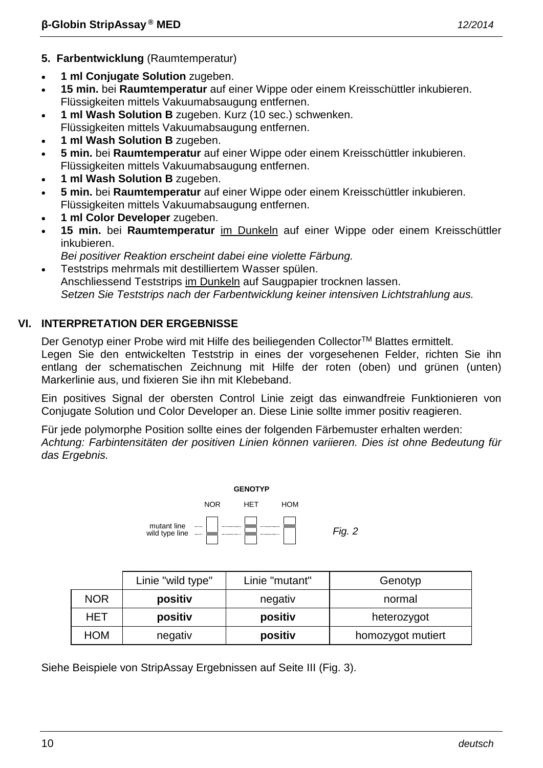- **5. Farbentwicklung** (Raumtemperatur)
- **1 ml Conjugate Solution** zugeben.
- **15 min.** bei **Raumtemperatur** auf einer Wippe oder einem Kreisschüttler inkubieren. Flüssigkeiten mittels Vakuumabsaugung entfernen.
- **1 ml Wash Solution B** zugeben. Kurz (10 sec.) schwenken. Flüssigkeiten mittels Vakuumabsaugung entfernen.
- **1 ml Wash Solution B** zugeben.
- **5 min.** bei **Raumtemperatur** auf einer Wippe oder einem Kreisschüttler inkubieren. Flüssigkeiten mittels Vakuumabsaugung entfernen.
- **1 ml Wash Solution B** zugeben.
- **5 min.** bei **Raumtemperatur** auf einer Wippe oder einem Kreisschüttler inkubieren. Flüssigkeiten mittels Vakuumabsaugung entfernen.
- **1 ml Color Developer** zugeben.
- **15 min.** bei **Raumtemperatur** im Dunkeln auf einer Wippe oder einem Kreisschüttler inkubieren.
- *Bei positiver Reaktion erscheint dabei eine violette Färbung.*
- Teststrips mehrmals mit destilliertem Wasser spülen. Anschliessend Teststrips im Dunkeln auf Saugpapier trocknen lassen. *Setzen Sie Teststrips nach der Farbentwicklung keiner intensiven Lichtstrahlung aus.*

# **VI. INTERPRETATION DER ERGEBNISSE**

Der Genotyp einer Probe wird mit Hilfe des beiliegenden Collector™ Blattes ermittelt. Legen Sie den entwickelten Teststrip in eines der vorgesehenen Felder, richten Sie ihn entlang der schematischen Zeichnung mit Hilfe der roten (oben) und grünen (unten) Markerlinie aus, und fixieren Sie ihn mit Klebeband.

Ein positives Signal der obersten Control Linie zeigt das einwandfreie Funktionieren von Conjugate Solution und Color Developer an. Diese Linie sollte immer positiv reagieren.

Für jede polymorphe Position sollte eines der folgenden Färbemuster erhalten werden: *Achtung: Farbintensitäten der positiven Linien können variieren. Dies ist ohne Bedeutung für das Ergebnis.*



|     | Linie "wild type" | Linie "mutant" | Genotyp           |
|-----|-------------------|----------------|-------------------|
| NOR | positiv           | negativ        | normal            |
| HET | positiv           | positiv        | heterozygot       |
| HOM | negativ           | positiv        | homozygot mutiert |

Siehe Beispiele von StripAssay Ergebnissen auf Seite III (Fig. 3).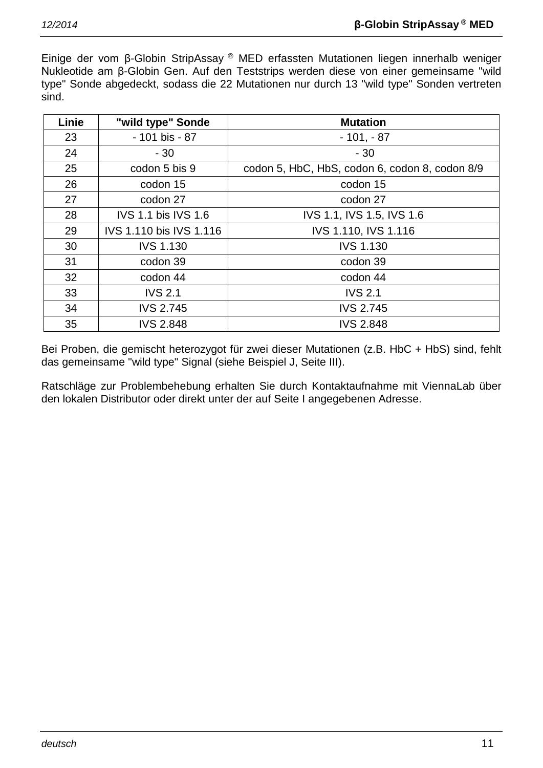Einige der vom β-Globin StripAssay ® MED erfassten Mutationen liegen innerhalb weniger Nukleotide am β-Globin Gen. Auf den Teststrips werden diese von einer gemeinsame "wild type" Sonde abgedeckt, sodass die 22 Mutationen nur durch 13 "wild type" Sonden vertreten sind.

| Linie | "wild type" Sonde          | <b>Mutation</b>                                |
|-------|----------------------------|------------------------------------------------|
| 23    | - 101 bis - 87             | $-101, -87$                                    |
| 24    | $-30$                      | $-30$                                          |
| 25    | codon 5 bis 9              | codon 5, HbC, HbS, codon 6, codon 8, codon 8/9 |
| 26    | codon 15                   | codon 15                                       |
| 27    | codon 27                   | codon 27                                       |
| 28    | <b>IVS 1.1 bis IVS 1.6</b> | IVS 1.1, IVS 1.5, IVS 1.6                      |
| 29    | IVS 1.110 bis IVS 1.116    | IVS 1.110, IVS 1.116                           |
| 30    | <b>IVS 1.130</b>           | <b>IVS 1.130</b>                               |
| 31    | codon 39                   | codon 39                                       |
| 32    | codon 44                   | codon 44                                       |
| 33    | <b>IVS 2.1</b>             | <b>IVS 2.1</b>                                 |
| 34    | <b>IVS 2.745</b>           | <b>IVS 2.745</b>                               |
| 35    | <b>IVS 2.848</b>           | <b>IVS 2.848</b>                               |

Bei Proben, die gemischt heterozygot für zwei dieser Mutationen (z.B. HbC + HbS) sind, fehlt das gemeinsame "wild type" Signal (siehe Beispiel J, Seite III).

Ratschläge zur Problembehebung erhalten Sie durch Kontaktaufnahme mit ViennaLab über den lokalen Distributor oder direkt unter der auf Seite I angegebenen Adresse.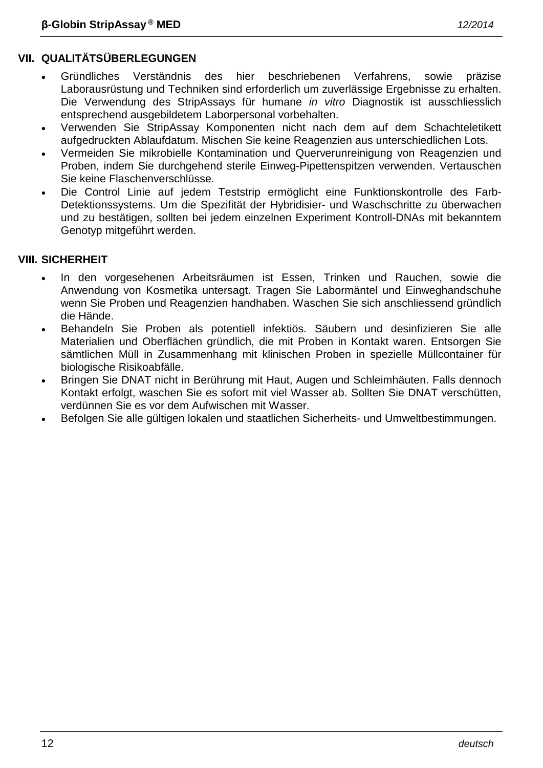# **VII. QUALITÄTSÜBERLEGUNGEN**

- Gründliches Verständnis des hier beschriebenen Verfahrens, sowie präzise Laborausrüstung und Techniken sind erforderlich um zuverlässige Ergebnisse zu erhalten. Die Verwendung des StripAssays für humane *in vitro* Diagnostik ist ausschliesslich entsprechend ausgebildetem Laborpersonal vorbehalten.
- Verwenden Sie StripAssay Komponenten nicht nach dem auf dem Schachteletikett aufgedruckten Ablaufdatum. Mischen Sie keine Reagenzien aus unterschiedlichen Lots.
- Vermeiden Sie mikrobielle Kontamination und Querverunreinigung von Reagenzien und Proben, indem Sie durchgehend sterile Einweg-Pipettenspitzen verwenden. Vertauschen Sie keine Flaschenverschlüsse.
- Die Control Linie auf jedem Teststrip ermöglicht eine Funktionskontrolle des Farb-Detektionssystems. Um die Spezifität der Hybridisier- und Waschschritte zu überwachen und zu bestätigen, sollten bei jedem einzelnen Experiment Kontroll-DNAs mit bekanntem Genotyp mitgeführt werden.

# **VIII. SICHERHEIT**

- In den vorgesehenen Arbeitsräumen ist Essen, Trinken und Rauchen, sowie die Anwendung von Kosmetika untersagt. Tragen Sie Labormäntel und Einweghandschuhe wenn Sie Proben und Reagenzien handhaben. Waschen Sie sich anschliessend gründlich die Hände.
- Behandeln Sie Proben als potentiell infektiös. Säubern und desinfizieren Sie alle Materialien und Oberflächen gründlich, die mit Proben in Kontakt waren. Entsorgen Sie sämtlichen Müll in Zusammenhang mit klinischen Proben in spezielle Müllcontainer für biologische Risikoabfälle.
- Bringen Sie DNAT nicht in Berührung mit Haut, Augen und Schleimhäuten. Falls dennoch Kontakt erfolgt, waschen Sie es sofort mit viel Wasser ab. Sollten Sie DNAT verschütten, verdünnen Sie es vor dem Aufwischen mit Wasser.
- Befolgen Sie alle gültigen lokalen und staatlichen Sicherheits- und Umweltbestimmungen.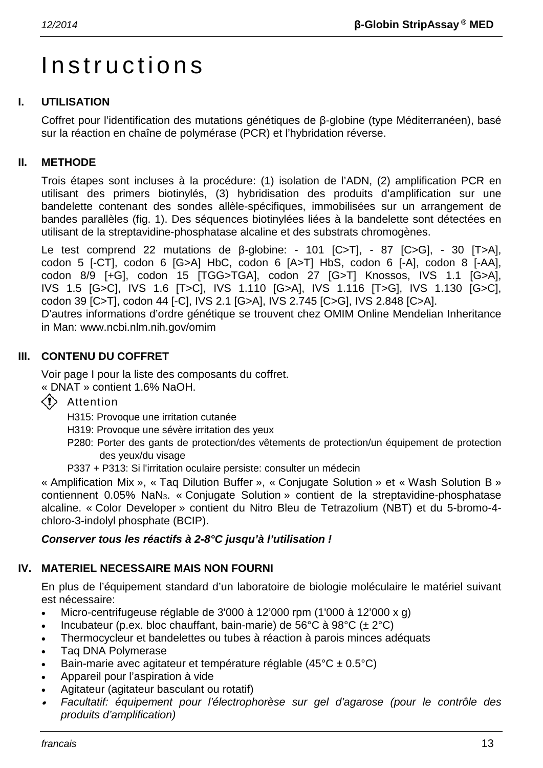# **Instructions**

# **I. UTILISATION**

Coffret pour l'identification des mutations génétiques de β-globine (type Méditerranéen), basé sur la réaction en chaîne de polymérase (PCR) et l'hybridation réverse.

# **II. METHODE**

Trois étapes sont incluses à la procédure: (1) isolation de l'ADN, (2) amplification PCR en utilisant des primers biotinylés, (3) hybridisation des produits d'amplification sur une bandelette contenant des sondes allèle-spécifiques, immobilisées sur un arrangement de bandes parallèles (fig. 1). Des séquences biotinylées liées à la bandelette sont détectées en utilisant de la streptavidine-phosphatase alcaline et des substrats chromogènes.

Le test comprend 22 mutations de β-globine: - 101 [C>T], - 87 [C>G], - 30 [T>A], codon 5 [-CT], codon 6 [G>A] HbC, codon 6 [A>T] HbS, codon 6 [-A], codon 8 [-AA], codon 8/9 [+G], codon 15 [TGG>TGA], codon 27 [G>T] Knossos, IVS 1.1 [G>A], IVS 1.5 [G>C], IVS 1.6 [T>C], IVS 1.110 [G>A], IVS 1.116 [T>G], IVS 1.130 [G>C], codon 39 [C>T], codon 44 [-C], IVS 2.1 [G>A], IVS 2.745 [C>G], IVS 2.848 [C>A].

D'autres informations d'ordre génétique se trouvent chez OMIM Online Mendelian Inheritance in Man: www.ncbi.nlm.nih.gov/omim

# **III. CONTENU DU COFFRET**

Voir page I pour la liste des composants du coffret.

« DNAT » contient 1.6% NaOH.

 $\langle \cdot \rangle$  Attention

H315: Provoque une irritation cutanée

- H319: Provoque une sévère irritation des yeux
- P280: Porter des gants de protection/des vêtements de protection/un équipement de protection des yeux/du visage
- P337 + P313: Si l'irritation oculaire persiste: consulter un médecin

« Amplification Mix », « Taq Dilution Buffer », « Conjugate Solution » et « Wash Solution B » contiennent 0.05% NaN3. « Conjugate Solution » contient de la streptavidine-phosphatase alcaline. « Color Developer » contient du Nitro Bleu de Tetrazolium (NBT) et du 5-bromo-4 chloro-3-indolyl phosphate (BCIP).

# *Conserver tous les réactifs à 2-8°C jusqu'à l'utilisation !*

# **IV. MATERIEL NECESSAIRE MAIS NON FOURNI**

En plus de l'équipement standard d'un laboratoire de biologie moléculaire le matériel suivant est nécessaire:

- Micro-centrifugeuse réglable de 3'000 à 12'000 rpm (1'000 à 12'000 x g)
- Incubateur (p.ex. bloc chauffant, bain-marie) de 56°C à 98°C ( $\pm$  2°C)
- Thermocycleur et bandelettes ou tubes à réaction à parois minces adéquats
- Taq DNA Polymerase
- Bain-marie avec agitateur et température réglable (45°C ± 0.5°C)
- Appareil pour l'aspiration à vide
- Agitateur (agitateur basculant ou rotatif)
- • *Facultatif: équipement pour l'électrophorèse sur gel d'agarose (pour le contrôle des produits d'amplification)*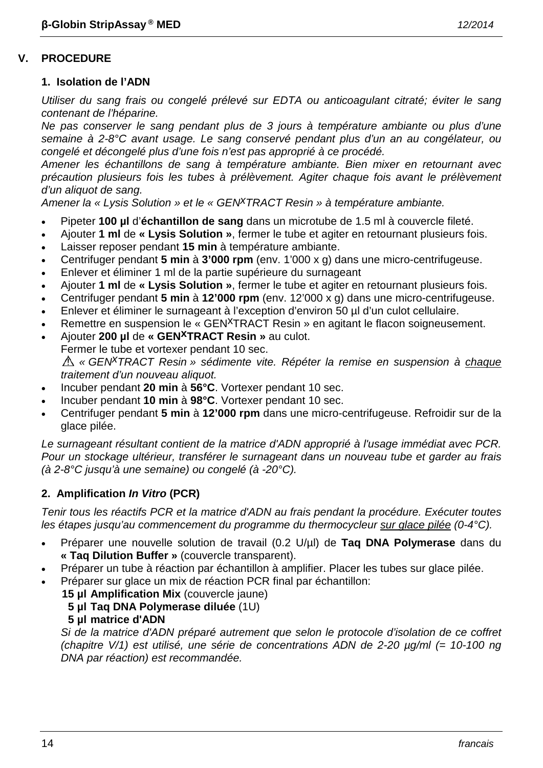# **1. Isolation de l'ADN**

*Utiliser du sang frais ou congelé prélevé sur EDTA ou anticoagulant citraté; éviter le sang contenant de l'héparine.*

*Ne pas conserver le sang pendant plus de 3 jours à température ambiante ou plus d'une semaine à 2-8°C avant usage. Le sang conservé pendant plus d'un an au congélateur, ou congelé et décongelé plus d'une fois n'est pas approprié à ce procédé.*

*Amener les échantillons de sang à température ambiante. Bien mixer en retournant avec précaution plusieurs fois les tubes à prélèvement. Agiter chaque fois avant le prélèvement d'un aliquot de sang.*

*Amener la « Lysis Solution » et le « GENxTRACT Resin » à température ambiante.*

- Pipeter **100 µl** d'**échantillon de sang** dans un microtube de 1.5 ml à couvercle fileté.
- Ajouter **1 ml** de **« Lysis Solution »**, fermer le tube et agiter en retournant plusieurs fois.
- Laisser reposer pendant **15 min** à température ambiante.
- Centrifuger pendant **5 min** à **3'000 rpm** (env. 1'000 x g) dans une micro-centrifugeuse.
- Enlever et éliminer 1 ml de la partie supérieure du surnageant
- Ajouter **1 ml** de **« Lysis Solution »**, fermer le tube et agiter en retournant plusieurs fois.
- Centrifuger pendant **5 min** à **12'000 rpm** (env. 12'000 x g) dans une micro-centrifugeuse.
- Enlever et éliminer le surnageant à l'exception d'environ 50 µl d'un culot cellulaire.
- Remettre en suspension le « GEN<sup>X</sup>TRACT Resin » en agitant le flacon soigneusement.
- Ajouter **200 µl** de **« GENxTRACT Resin »** au culot. Fermer le tube et vortexer pendant 10 sec. *« GENxTRACT Resin » sédimente vite. Répéter la remise en suspension à chaque traitement d'un nouveau aliquot.*
- Incuber pendant **20 min** à **56°C**. Vortexer pendant 10 sec.
- Incuber pendant **10 min** à **98°C**. Vortexer pendant 10 sec.
- Centrifuger pendant **5 min** à **12'000 rpm** dans une micro-centrifugeuse. Refroidir sur de la glace pilée.

*Le surnageant résultant contient de la matrice d'ADN approprié à l'usage immédiat avec PCR. Pour un stockage ultérieur, transférer le surnageant dans un nouveau tube et garder au frais (à 2-8°C jusqu'à une semaine) ou congelé (à -20°C).*

# **2. Amplification** *In Vitro* **(PCR)**

*Tenir tous les réactifs PCR et la matrice d'ADN au frais pendant la procédure. Exécuter toutes les étapes jusqu'au commencement du programme du thermocycleur sur glace pilée (0-4°C).*

- Préparer une nouvelle solution de travail (0.2 U/µl) de **Taq DNA Polymerase** dans du **« Taq Dilution Buffer »** (couvercle transparent).
- Préparer un tube à réaction par échantillon à amplifier. Placer les tubes sur glace pilée.
- Préparer sur glace un mix de réaction PCR final par échantillon:

**15 µl Amplification Mix** (couvercle jaune)

- **5 µl Taq DNA Polymerase diluée** (1U)
- **5 µl matrice d'ADN**

*Si de la matrice d'ADN préparé autrement que selon le protocole d'isolation de ce coffret (chapitre V/1) est utilisé, une série de concentrations ADN de 2-20 µg/ml (= 10-100 ng DNA par réaction) est recommandée.*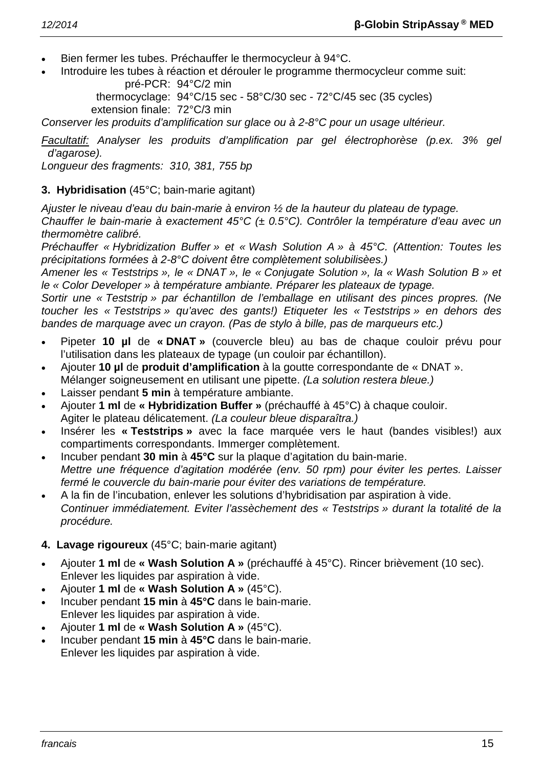- Bien fermer les tubes. Préchauffer le thermocycleur à 94°C.
- Introduire les tubes à réaction et dérouler le programme thermocycleur comme suit:

pré-PCR: 94°C/2 min

thermocyclage: 94°C/15 sec - 58°C/30 sec - 72°C/45 sec (35 cycles) extension finale: 72°C/3 min

*Conserver les produits d'amplification sur glace ou à 2-8°C pour un usage ultérieur.*

*Facultatif: Analyser les produits d'amplification par gel électrophorèse (p.ex. 3% gel d'agarose).*

*Longueur des fragments: 310, 381, 755 bp*

# **3. Hybridisation** (45°C; bain-marie agitant)

*Ajuster le niveau d'eau du bain-marie à environ ½ de la hauteur du plateau de typage.*

*Chauffer le bain-marie à exactement 45°C (± 0.5°C). Contrôler la température d'eau avec un thermomètre calibré.*

*Préchauffer « Hybridization Buffer » et « Wash Solution A » à 45°C. (Attention: Toutes les précipitations formées à 2-8°C doivent être complètement solubilisèes.)*

*Amener les « Teststrips », le « DNAT », le « Conjugate Solution », la « Wash Solution B » et le « Color Developer » à température ambiante. Préparer les plateaux de typage.*

*Sortir une « Teststrip » par échantillon de l'emballage en utilisant des pinces propres. (Ne toucher les « Teststrips » qu'avec des gants!) Etiqueter les « Teststrips » en dehors des bandes de marquage avec un crayon. (Pas de stylo à bille, pas de marqueurs etc.)*

- Pipeter **10 µl** de **« DNAT »** (couvercle bleu) au bas de chaque couloir prévu pour l'utilisation dans les plateaux de typage (un couloir par échantillon).
- Ajouter **10 µl** de **produit d'amplification** à la goutte correspondante de « DNAT ». Mélanger soigneusement en utilisant une pipette. *(La solution restera bleue.)*
- Laisser pendant **5 min** à température ambiante.
- Ajouter **1 ml** de **« Hybridization Buffer »** (préchauffé à 45°C) à chaque couloir. Agiter le plateau délicatement. *(La couleur bleue disparaîtra.)*
- Insérer les **« Teststrips »** avec la face marquée vers le haut (bandes visibles!) aux compartiments correspondants. Immerger complètement.
- Incuber pendant **30 min** à **45°C** sur la plaque d'agitation du bain-marie. *Mettre une fréquence d'agitation modérée (env. 50 rpm) pour éviter les pertes. Laisser fermé le couvercle du bain-marie pour éviter des variations de température.*
- A la fin de l'incubation, enlever les solutions d'hybridisation par aspiration à vide. *Continuer immédiatement. Eviter l'assèchement des « Teststrips » durant la totalité de la procédure.*

# **4. Lavage rigoureux** (45°C; bain-marie agitant)

- Ajouter **1 ml** de **« Wash Solution A »** (préchauffé à 45°C). Rincer brièvement (10 sec). Enlever les liquides par aspiration à vide.
- Ajouter **1 ml** de **« Wash Solution A »** (45°C).
- Incuber pendant **15 min** à **45°C** dans le bain-marie. Enlever les liquides par aspiration à vide.
- Ajouter **1 ml** de **« Wash Solution A »** (45°C).
- Incuber pendant **15 min** à **45°C** dans le bain-marie. Enlever les liquides par aspiration à vide.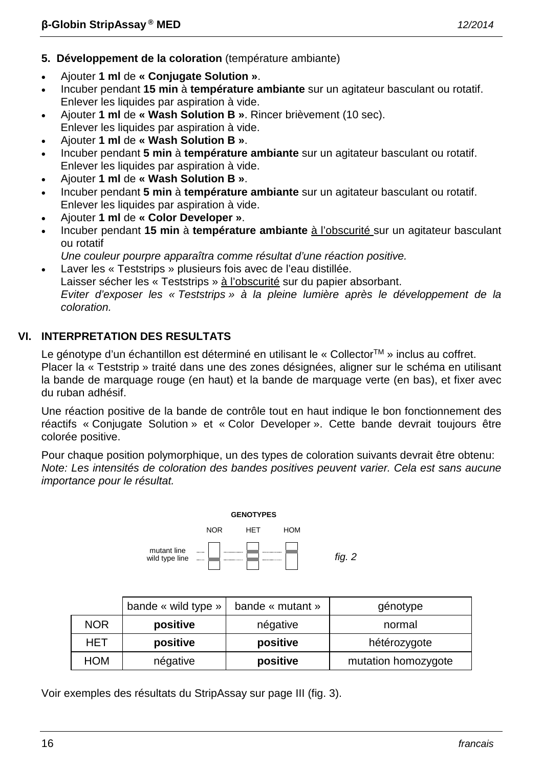- **5. Développement de la coloration** (température ambiante)
- Ajouter **1 ml** de **« Conjugate Solution »**.
- Incuber pendant **15 min** à **température ambiante** sur un agitateur basculant ou rotatif. Enlever les liquides par aspiration à vide.
- Ajouter **1 ml** de **« Wash Solution B »**. Rincer brièvement (10 sec). Enlever les liquides par aspiration à vide.
- Ajouter **1 ml** de **« Wash Solution B »**.
- Incuber pendant **5 min** à **température ambiante** sur un agitateur basculant ou rotatif. Enlever les liquides par aspiration à vide.
- Ajouter **1 ml** de **« Wash Solution B »**.
- Incuber pendant **5 min** à **température ambiante** sur un agitateur basculant ou rotatif. Enlever les liquides par aspiration à vide.
- Ajouter **1 ml** de **« Color Developer »**.
- Incuber pendant **15 min** à **température ambiante** à l'obscurité sur un agitateur basculant ou rotatif
- *Une couleur pourpre apparaîtra comme résultat d'une réaction positive.* • Laver les « Teststrips » plusieurs fois avec de l'eau distillée.
- Laisser sécher les « Teststrips » à l'obscurité sur du papier absorbant. *Eviter d'exposer les « Teststrips » à la pleine lumière après le développement de la coloration.*

# **VI. INTERPRETATION DES RESULTATS**

Le génotype d'un échantillon est déterminé en utilisant le « Collector<sup>TM</sup> » inclus au coffret. Placer la « Teststrip » traité dans une des zones désignées, aligner sur le schéma en utilisant la bande de marquage rouge (en haut) et la bande de marquage verte (en bas), et fixer avec du ruban adhésif.

Une réaction positive de la bande de contrôle tout en haut indique le bon fonctionnement des réactifs « Conjugate Solution » et « Color Developer ». Cette bande devrait toujours être colorée positive.

Pour chaque position polymorphique, un des types de coloration suivants devrait être obtenu: *Note: Les intensités de coloration des bandes positives peuvent varier. Cela est sans aucune importance pour le résultat.*



|            | bande « wild type » | bande « mutant » | génotype            |
|------------|---------------------|------------------|---------------------|
| <b>NOR</b> | positive            | négative         | normal              |
| HET        | positive            | positive         | hétérozygote        |
| <b>HOM</b> | négative            | positive         | mutation homozygote |

Voir exemples des résultats du StripAssay sur page III (fig. 3).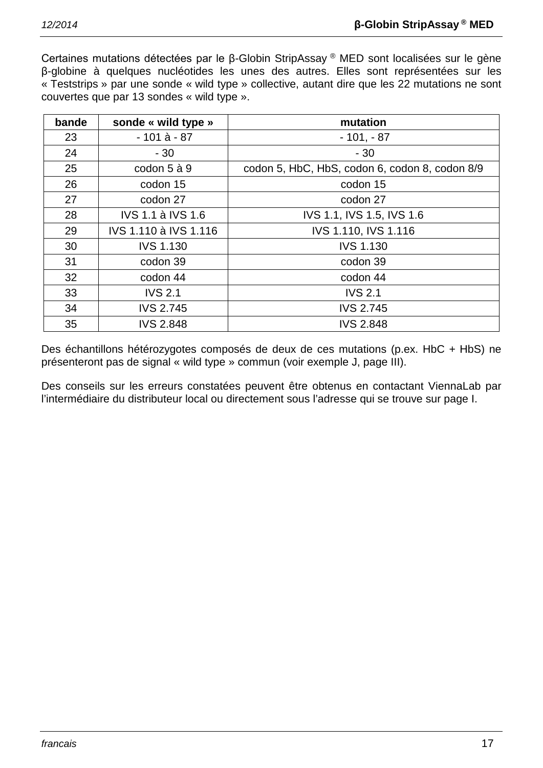Certaines mutations détectées par le β-Globin StripAssay ® MED sont localisées sur le gène β-globine à quelques nucléotides les unes des autres. Elles sont représentées sur les « Teststrips » par une sonde « wild type » collective, autant dire que les 22 mutations ne sont couvertes que par 13 sondes « wild type ».

| bande | sonde « wild type »      | mutation                                       |
|-------|--------------------------|------------------------------------------------|
| 23    | $-101$ à $-87$           | $-101, -87$                                    |
| 24    | $-30$                    | $-30$                                          |
| 25    | codon 5 à 9              | codon 5, HbC, HbS, codon 6, codon 8, codon 8/9 |
| 26    | codon 15                 | codon 15                                       |
| 27    | codon 27                 | codon 27                                       |
| 28    | <b>IVS 1.1 à IVS 1.6</b> | IVS 1.1, IVS 1.5, IVS 1.6                      |
| 29    | IVS 1.110 à IVS 1.116    | IVS 1.110, IVS 1.116                           |
| 30    | <b>IVS 1.130</b>         | <b>IVS 1.130</b>                               |
| 31    | codon 39                 | codon 39                                       |
| 32    | codon 44                 | codon 44                                       |
| 33    | <b>IVS 2.1</b>           | <b>IVS 2.1</b>                                 |
| 34    | <b>IVS 2.745</b>         | <b>IVS 2.745</b>                               |
| 35    | <b>IVS 2.848</b>         | <b>IVS 2.848</b>                               |

Des échantillons hétérozygotes composés de deux de ces mutations (p.ex. HbC + HbS) ne présenteront pas de signal « wild type » commun (voir exemple J, page III).

Des conseils sur les erreurs constatées peuvent être obtenus en contactant ViennaLab par l'intermédiaire du distributeur local ou directement sous l'adresse qui se trouve sur page I.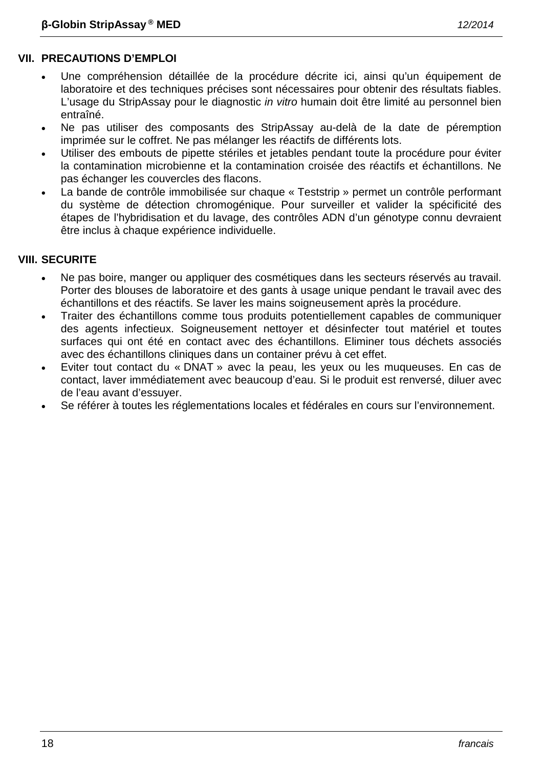- Une compréhension détaillée de la procédure décrite ici, ainsi qu'un équipement de laboratoire et des techniques précises sont nécessaires pour obtenir des résultats fiables. L'usage du StripAssay pour le diagnostic *in vitro* humain doit être limité au personnel bien entraîné.
- Ne pas utiliser des composants des StripAssay au-delà de la date de péremption imprimée sur le coffret. Ne pas mélanger les réactifs de différents lots.
- Utiliser des embouts de pipette stériles et jetables pendant toute la procédure pour éviter la contamination microbienne et la contamination croisée des réactifs et échantillons. Ne pas échanger les couvercles des flacons.
- La bande de contrôle immobilisée sur chaque « Teststrip » permet un contrôle performant du système de détection chromogénique. Pour surveiller et valider la spécificité des étapes de l'hybridisation et du lavage, des contrôles ADN d'un génotype connu devraient être inclus à chaque expérience individuelle.

# **VIII. SECURITE**

- Ne pas boire, manger ou appliquer des cosmétiques dans les secteurs réservés au travail. Porter des blouses de laboratoire et des gants à usage unique pendant le travail avec des échantillons et des réactifs. Se laver les mains soigneusement après la procédure.
- Traiter des échantillons comme tous produits potentiellement capables de communiquer des agents infectieux. Soigneusement nettoyer et désinfecter tout matériel et toutes surfaces qui ont été en contact avec des échantillons. Eliminer tous déchets associés avec des échantillons cliniques dans un container prévu à cet effet.
- Eviter tout contact du « DNAT » avec la peau, les yeux ou les muqueuses. En cas de contact, laver immédiatement avec beaucoup d'eau. Si le produit est renversé, diluer avec de l'eau avant d'essuyer.
- Se référer à toutes les réglementations locales et fédérales en cours sur l'environnement.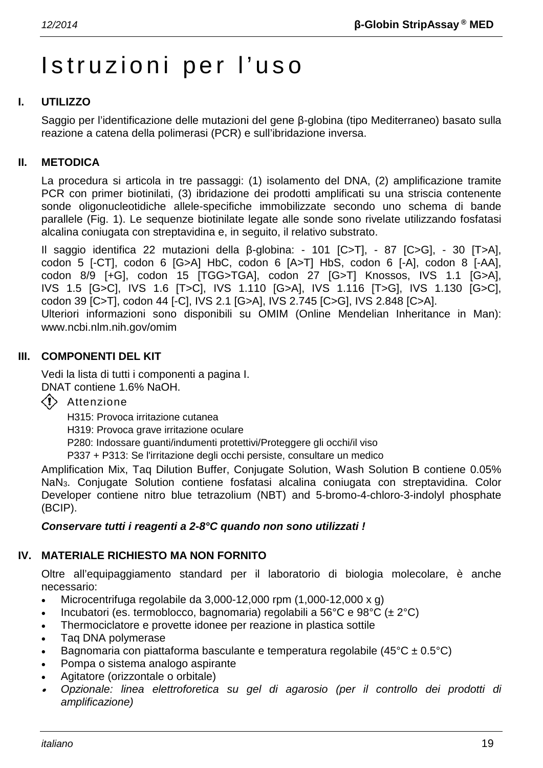# Istruzioni per l'uso

# **I. UTILIZZO**

Saggio per l'identificazione delle mutazioni del gene β-globina (tipo Mediterraneo) basato sulla reazione a catena della polimerasi (PCR) e sull'ibridazione inversa.

# **II. METODICA**

La procedura si articola in tre passaggi: (1) isolamento del DNA, (2) amplificazione tramite PCR con primer biotinilati, (3) ibridazione dei prodotti amplificati su una striscia contenente sonde oligonucleotidiche allele-specifiche immobilizzate secondo uno schema di bande parallele (Fig. 1). Le sequenze biotinilate legate alle sonde sono rivelate utilizzando fosfatasi alcalina coniugata con streptavidina e, in seguito, il relativo substrato.

Il saggio identifica 22 mutazioni della β-globina: - 101 [C>T], - 87 [C>G], - 30 [T>A], codon 5 [-CT], codon 6 [G>A] HbC, codon 6 [A>T] HbS, codon 6 [-A], codon 8 [-AA], codon 8/9 [+G], codon 15 [TGG>TGA], codon 27 [G>T] Knossos, IVS 1.1 [G>A], IVS 1.5 [G>C], IVS 1.6 [T>C], IVS 1.110 [G>A], IVS 1.116 [T>G], IVS 1.130 [G>C], codon 39 [C>T], codon 44 [-C], IVS 2.1 [G>A], IVS 2.745 [C>G], IVS 2.848 [C>A]. Ulteriori informazioni sono disponibili su OMIM (Online Mendelian Inheritance in Man): www.ncbi.nlm.nih.gov/omim

#### **III. COMPONENTI DEL KIT**

Vedi la lista di tutti i componenti a pagina I. DNAT contiene 1.6% NaOH.

 $\langle \cdot \rangle$  Attenzione

H315: Provoca irritazione cutanea H319: Provoca grave irritazione oculare

P280: Indossare guanti/indumenti protettivi/Proteggere gli occhi/il viso

P337 + P313: Se l'irritazione degli occhi persiste, consultare un medico

Amplification Mix, Taq Dilution Buffer, Conjugate Solution, Wash Solution B contiene 0.05% NaN3. Conjugate Solution contiene fosfatasi alcalina coniugata con streptavidina. Color Developer contiene nitro blue tetrazolium (NBT) and 5-bromo-4-chloro-3-indolyl phosphate (BCIP).

#### *Conservare tutti i reagenti a 2-8°C quando non sono utilizzati !*

# **IV. MATERIALE RICHIESTO MA NON FORNITO**

Oltre all'equipaggiamento standard per il laboratorio di biologia molecolare, è anche necessario:

- Microcentrifuga regolabile da  $3,000-12,000$  rpm  $(1,000-12,000 \times g)$
- Incubatori (es. termoblocco, bagnomaria) regolabili a 56°C e 98°C ( $\pm 2$ °C)
- Thermociclatore e provette idonee per reazione in plastica sottile
- Taq DNA polymerase
- Bagnomaria con piattaforma basculante e temperatura regolabile (45 $^{\circ}$ C ± 0.5 $^{\circ}$ C)
- Pompa o sistema analogo aspirante
- Agitatore (orizzontale o orbitale)
- • *Opzionale: linea elettroforetica su gel di agarosio (per il controllo dei prodotti di amplificazione)*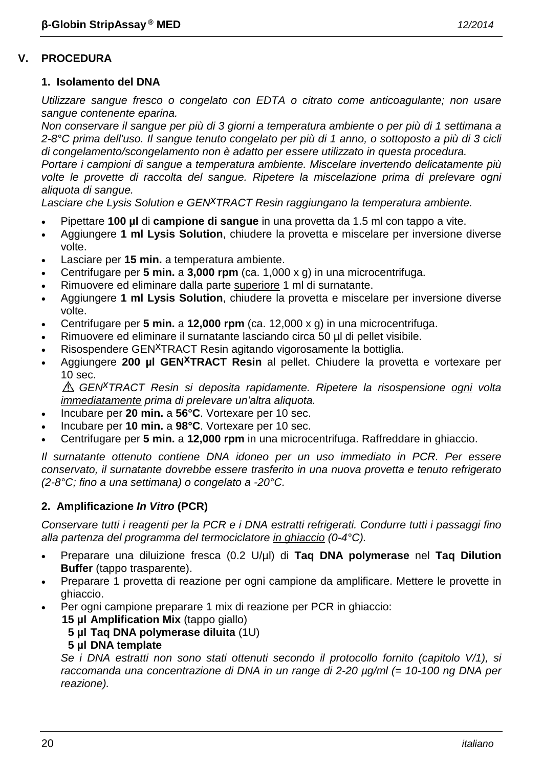#### **1. Isolamento del DNA**

*Utilizzare sangue fresco o congelato con EDTA o citrato come anticoagulante; non usare sangue contenente eparina.*

*Non conservare il sangue per più di 3 giorni a temperatura ambiente o per più di 1 settimana a 2-8°C prima dell'uso. Il sangue tenuto congelato per più di 1 anno, o sottoposto a più di 3 cicli di congelamento/scongelamento non è adatto per essere utilizzato in questa procedura.*

*Portare i campioni di sangue a temperatura ambiente. Miscelare invertendo delicatamente più volte le provette di raccolta del sangue. Ripetere la miscelazione prima di prelevare ogni aliquota di sangue.*

Lasciare che Lysis Solution e GEN<sup>X</sup>TRACT Resin raggiungano la temperatura ambiente.

- Pipettare **100 µl** di **campione di sangue** in una provetta da 1.5 ml con tappo a vite.
- Aggiungere **1 ml Lysis Solution**, chiudere la provetta e miscelare per inversione diverse volte.
- Lasciare per **15 min.** a temperatura ambiente.
- Centrifugare per **5 min.** a **3,000 rpm** (ca. 1,000 x g) in una microcentrifuga.
- Rimuovere ed eliminare dalla parte superiore 1 ml di surnatante.
- Aggiungere **1 ml Lysis Solution**, chiudere la provetta e miscelare per inversione diverse volte.
- Centrifugare per **5 min.** a **12,000 rpm** (ca. 12,000 x g) in una microcentrifuga.
- Rimuovere ed eliminare il surnatante lasciando circa 50 µl di pellet visibile.
- Risospendere GEN<sup>X</sup>TRACT Resin agitando vigorosamente la bottiglia.
- Aggiungere **200 µl GENxTRACT Resin** al pellet. Chiudere la provetta e vortexare per 10 sec.

*GENxTRACT Resin si deposita rapidamente. Ripetere la risospensione ogni volta immediatamente prima di prelevare un'altra aliquota.*

- Incubare per **20 min.** a **56°C**. Vortexare per 10 sec.
- Incubare per **10 min.** a **98°C**. Vortexare per 10 sec.
- Centrifugare per **5 min.** a **12,000 rpm** in una microcentrifuga. Raffreddare in ghiaccio.

*Il surnatante ottenuto contiene DNA idoneo per un uso immediato in PCR. Per essere conservato, il surnatante dovrebbe essere trasferito in una nuova provetta e tenuto refrigerato (2-8°C; fino a una settimana) o congelato a -20°C.*

# **2. Amplificazione** *In Vitro* **(PCR)**

*Conservare tutti i reagenti per la PCR e i DNA estratti refrigerati. Condurre tutti i passaggi fino alla partenza del programma del termociclatore in ghiaccio (0-4°C).*

- Preparare una diluizione fresca (0.2 U/µl) di **Taq DNA polymerase** nel **Taq Dilution Buffer** (tappo trasparente).
- Preparare 1 provetta di reazione per ogni campione da amplificare. Mettere le provette in ghiaccio.
- Per ogni campione preparare 1 mix di reazione per PCR in ghiaccio:

**15 µl Amplification Mix** (tappo giallo)

**5 µl Taq DNA polymerase diluita** (1U)

# **5 µl DNA template**

*Se i DNA estratti non sono stati ottenuti secondo il protocollo fornito (capitolo V/1), si raccomanda una concentrazione di DNA in un range di 2-20 µg/ml (= 10-100 ng DNA per reazione).*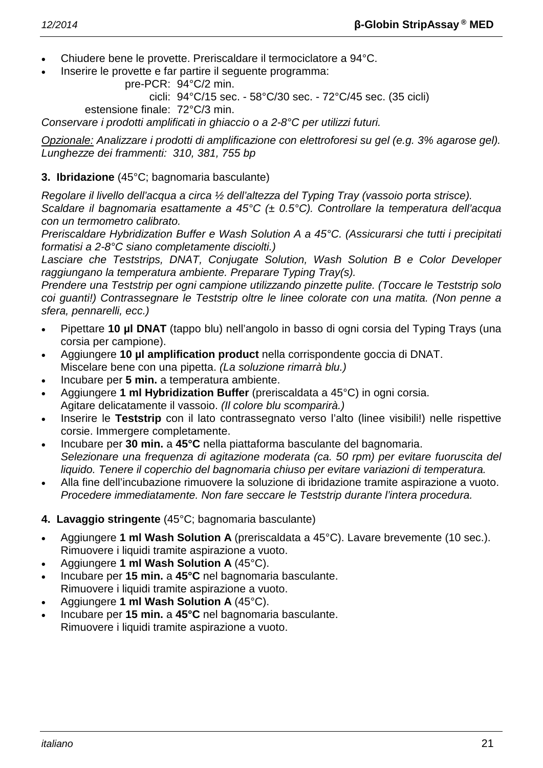- Chiudere bene le provette. Preriscaldare il termociclatore a 94°C.
- Inserire le provette e far partire il seguente programma:

```
pre-PCR: 94°C/2 min.
```
cicli: 94°C/15 sec. - 58°C/30 sec. - 72°C/45 sec. (35 cicli)

estensione finale: 72°C/3 min.

*Conservare i prodotti amplificati in ghiaccio o a 2-8°C per utilizzi futuri.*

*Opzionale: Analizzare i prodotti di amplificazione con elettroforesi su gel (e.g. 3% agarose gel). Lunghezze dei frammenti: 310, 381, 755 bp*

# **3. Ibridazione** (45°C; bagnomaria basculante)

*Regolare il livello dell'acqua a circa ½ dell'altezza del Typing Tray (vassoio porta strisce).*

*Scaldare il bagnomaria esattamente a 45°C (± 0.5°C). Controllare la temperatura dell'acqua con un termometro calibrato.*

*Preriscaldare Hybridization Buffer e Wash Solution A a 45°C. (Assicurarsi che tutti i precipitati formatisi a 2-8°C siano completamente disciolti.)*

*Lasciare che Teststrips, DNAT, Conjugate Solution, Wash Solution B e Color Developer raggiungano la temperatura ambiente. Preparare Typing Tray(s).*

*Prendere una Teststrip per ogni campione utilizzando pinzette pulite. (Toccare le Teststrip solo coi guanti!) Contrassegnare le Teststrip oltre le linee colorate con una matita. (Non penne a sfera, pennarelli, ecc.)*

- Pipettare **10 µl DNAT** (tappo blu) nell'angolo in basso di ogni corsia del Typing Trays (una corsia per campione).
- Aggiungere **10 µl amplification product** nella corrispondente goccia di DNAT. Miscelare bene con una pipetta. *(La soluzione rimarrà blu.)*
- Incubare per **5 min.** a temperatura ambiente.
- Aggiungere **1 ml Hybridization Buffer** (preriscaldata a 45°C) in ogni corsia. Agitare delicatamente il vassoio. *(Il colore blu scomparirà.)*
- Inserire le **Teststrip** con il lato contrassegnato verso l'alto (linee visibili!) nelle rispettive corsie. Immergere completamente.
- Incubare per **30 min.** a **45°C** nella piattaforma basculante del bagnomaria. *Selezionare una frequenza di agitazione moderata (ca. 50 rpm) per evitare fuoruscita del liquido. Tenere il coperchio del bagnomaria chiuso per evitare variazioni di temperatura.*
- Alla fine dell'incubazione rimuovere la soluzione di ibridazione tramite aspirazione a vuoto. *Procedere immediatamente. Non fare seccare le Teststrip durante l'intera procedura.*
- **4. Lavaggio stringente** (45°C; bagnomaria basculante)
- Aggiungere **1 ml Wash Solution A** (preriscaldata a 45°C). Lavare brevemente (10 sec.). Rimuovere i liquidi tramite aspirazione a vuoto.
- Aggiungere **1 ml Wash Solution A** (45°C).
- Incubare per **15 min.** a **45°C** nel bagnomaria basculante. Rimuovere i liquidi tramite aspirazione a vuoto.
- Aggiungere **1 ml Wash Solution A** (45°C).
- Incubare per **15 min.** a **45°C** nel bagnomaria basculante. Rimuovere i liquidi tramite aspirazione a vuoto.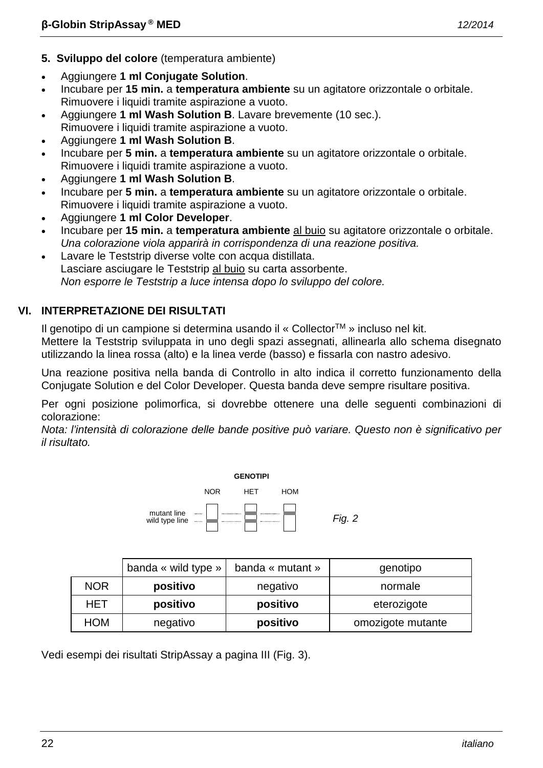- **5. Sviluppo del colore** (temperatura ambiente)
- Aggiungere **1 ml Conjugate Solution**.
- Incubare per **15 min.** a **temperatura ambiente** su un agitatore orizzontale o orbitale. Rimuovere i liquidi tramite aspirazione a vuoto.
- Aggiungere **1 ml Wash Solution B**. Lavare brevemente (10 sec.). Rimuovere i liquidi tramite aspirazione a vuoto.
- Aggiungere **1 ml Wash Solution B**.
- Incubare per **5 min.** a **temperatura ambiente** su un agitatore orizzontale o orbitale. Rimuovere i liquidi tramite aspirazione a vuoto.
- Aggiungere **1 ml Wash Solution B**.
- Incubare per **5 min.** a **temperatura ambiente** su un agitatore orizzontale o orbitale. Rimuovere i liquidi tramite aspirazione a vuoto.
- Aggiungere **1 ml Color Developer**.
- Incubare per **15 min.** a **temperatura ambiente** al buio su agitatore orizzontale o orbitale. *Una colorazione viola apparirà in corrispondenza di una reazione positiva.*
- Lavare le Teststrip diverse volte con acqua distillata. Lasciare asciugare le Teststrip al buio su carta assorbente. *Non esporre le Teststrip a luce intensa dopo lo sviluppo del colore.*

# **VI. INTERPRETAZIONE DEI RISULTATI**

Il genotipo di un campione si determina usando il « CollectorTM » incluso nel kit.

Mettere la Teststrip sviluppata in uno degli spazi assegnati, allinearla allo schema disegnato utilizzando la linea rossa (alto) e la linea verde (basso) e fissarla con nastro adesivo.

Una reazione positiva nella banda di Controllo in alto indica il corretto funzionamento della Conjugate Solution e del Color Developer. Questa banda deve sempre risultare positiva.

Per ogni posizione polimorfica, si dovrebbe ottenere una delle seguenti combinazioni di colorazione:

*Nota: l'intensità di colorazione delle bande positive può variare. Questo non è significativo per il risultato.*



|            | banda « wild type » | banda « mutant » | genotipo          |
|------------|---------------------|------------------|-------------------|
| <b>NOR</b> | positivo            | negativo         | normale           |
| HET        | positivo            | positivo         | eterozigote       |
| HOM        | negativo            | positivo         | omozigote mutante |

Vedi esempi dei risultati StripAssay a pagina III (Fig. 3).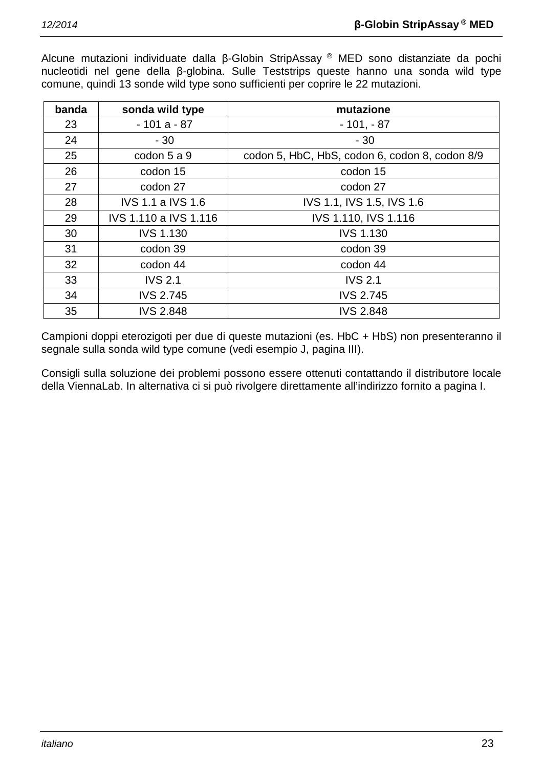Alcune mutazioni individuate dalla β-Globin StripAssay ® MED sono distanziate da pochi nucleotidi nel gene della β-globina. Sulle Teststrips queste hanno una sonda wild type comune, quindi 13 sonde wild type sono sufficienti per coprire le 22 mutazioni.

| banda | sonda wild type          | mutazione                                      |
|-------|--------------------------|------------------------------------------------|
| 23    | $-101a - 87$             | $-101, -87$                                    |
| 24    | $-30$                    | $-30$                                          |
| 25    | codon 5 a 9              | codon 5, HbC, HbS, codon 6, codon 8, codon 8/9 |
| 26    | codon 15                 | codon 15                                       |
| 27    | codon 27                 | codon 27                                       |
| 28    | <b>IVS 1.1 a IVS 1.6</b> | IVS 1.1, IVS 1.5, IVS 1.6                      |
| 29    | IVS 1.110 a IVS 1.116    | IVS 1.110, IVS 1.116                           |
| 30    | <b>IVS 1.130</b>         | <b>IVS 1.130</b>                               |
| 31    | codon 39                 | codon 39                                       |
| 32    | codon 44                 | codon 44                                       |
| 33    | <b>IVS 2.1</b>           | <b>IVS 2.1</b>                                 |
| 34    | <b>IVS 2.745</b>         | <b>IVS 2.745</b>                               |
| 35    | <b>IVS 2.848</b>         | <b>IVS 2.848</b>                               |

Campioni doppi eterozigoti per due di queste mutazioni (es. HbC + HbS) non presenteranno il segnale sulla sonda wild type comune (vedi esempio J, pagina III).

Consigli sulla soluzione dei problemi possono essere ottenuti contattando il distributore locale della ViennaLab. In alternativa ci si può rivolgere direttamente all'indirizzo fornito a pagina I.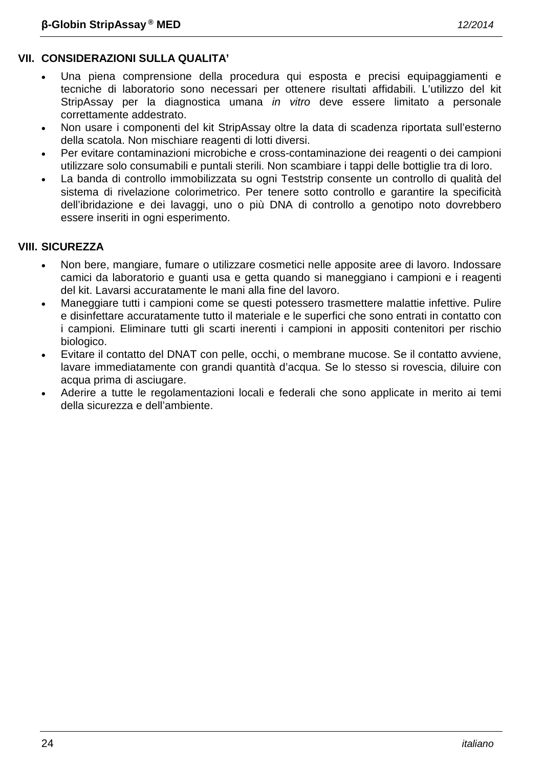# **VII. CONSIDERAZIONI SULLA QUALITA'**

- Una piena comprensione della procedura qui esposta e precisi equipaggiamenti e tecniche di laboratorio sono necessari per ottenere risultati affidabili. L'utilizzo del kit StripAssay per la diagnostica umana *in vitro* deve essere limitato a personale correttamente addestrato.
- Non usare i componenti del kit StripAssay oltre la data di scadenza riportata sull'esterno della scatola. Non mischiare reagenti di lotti diversi.
- Per evitare contaminazioni microbiche e cross-contaminazione dei reagenti o dei campioni utilizzare solo consumabili e puntali sterili. Non scambiare i tappi delle bottiglie tra di loro.
- La banda di controllo immobilizzata su ogni Teststrip consente un controllo di qualità del sistema di rivelazione colorimetrico. Per tenere sotto controllo e garantire la specificità dell'ibridazione e dei lavaggi, uno o più DNA di controllo a genotipo noto dovrebbero essere inseriti in ogni esperimento.

# **VIII. SICUREZZA**

- Non bere, mangiare, fumare o utilizzare cosmetici nelle apposite aree di lavoro. Indossare camici da laboratorio e guanti usa e getta quando si maneggiano i campioni e i reagenti del kit. Lavarsi accuratamente le mani alla fine del lavoro.
- Maneggiare tutti i campioni come se questi potessero trasmettere malattie infettive. Pulire e disinfettare accuratamente tutto il materiale e le superfici che sono entrati in contatto con i campioni. Eliminare tutti gli scarti inerenti i campioni in appositi contenitori per rischio biologico.
- Evitare il contatto del DNAT con pelle, occhi, o membrane mucose. Se il contatto avviene, lavare immediatamente con grandi quantità d'acqua. Se lo stesso si rovescia, diluire con acqua prima di asciugare.
- Aderire a tutte le regolamentazioni locali e federali che sono applicate in merito ai temi della sicurezza e dell'ambiente.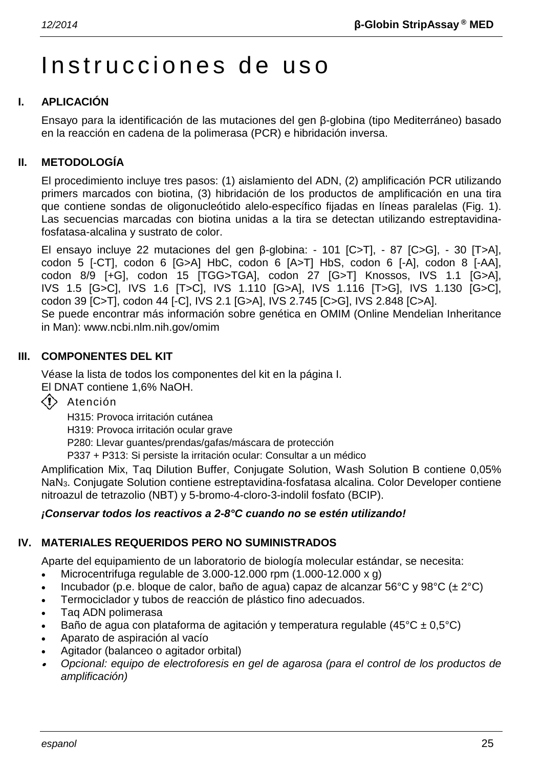# Instrucciones de uso

# **I. APLICACIÓN**

Ensayo para la identificación de las mutaciones del gen β-globina (tipo Mediterráneo) basado en la reacción en cadena de la polimerasa (PCR) e hibridación inversa.

# **II. METODOLOGÍA**

El procedimiento incluye tres pasos: (1) aislamiento del ADN, (2) amplificación PCR utilizando primers marcados con biotina, (3) hibridación de los productos de amplificación en una tira que contiene sondas de oligonucleótido alelo-específico fijadas en líneas paralelas (Fig. 1). Las secuencias marcadas con biotina unidas a la tira se detectan utilizando estreptavidinafosfatasa-alcalina y sustrato de color.

El ensayo incluye 22 mutaciones del gen β-globina: - 101 [C>T], - 87 [C>G], - 30 [T>A], codon 5 [-CT], codon 6 [G>A] HbC, codon 6 [A>T] HbS, codon 6 [-A], codon 8 [-AA], codon 8/9 [+G], codon 15 [TGG>TGA], codon 27 [G>T] Knossos, IVS 1.1 [G>A], IVS 1.5 [G>C], IVS 1.6 [T>C], IVS 1.110 [G>A], IVS 1.116 [T>G], IVS 1.130 [G>C], codon 39 [C>T], codon 44 [-C], IVS 2.1 [G>A], IVS 2.745 [C>G], IVS 2.848 [C>A]. Se puede encontrar más información sobre genética en OMIM (Online Mendelian Inheritance in Man): www.ncbi.nlm.nih.gov/omim

# **III. COMPONENTES DEL KIT**

Véase la lista de todos los componentes del kit en la página I. El DNAT contiene 1,6% NaOH.

 $\langle \cdot \rangle$  Atención

H315: Provoca irritación cutánea

H319: Provoca irritación ocular grave

P280: Llevar guantes/prendas/gafas/máscara de protección

P337 + P313: Si persiste la irritación ocular: Consultar a un médico

Amplification Mix, Taq Dilution Buffer, Conjugate Solution, Wash Solution B contiene 0,05% NaN3. Conjugate Solution contiene estreptavidina-fosfatasa alcalina. Color Developer contiene nitroazul de tetrazolio (NBT) y 5-bromo-4-cloro-3-indolil fosfato (BCIP).

# *¡Conservar todos los reactivos a 2-8°C cuando no se estén utilizando!*

# **IV. MATERIALES REQUERIDOS PERO NO SUMINISTRADOS**

Aparte del equipamiento de un laboratorio de biología molecular estándar, se necesita:

- Microcentrifuga regulable de  $3.000-12.000$  rpm  $(1.000-12.000 \times g)$
- Incubador (p.e. bloque de calor, baño de agua) capaz de alcanzar 56°C y 98°C (± 2°C)
- Termociclador y tubos de reacción de plástico fino adecuados.
- Taq ADN polimerasa
- Baño de agua con plataforma de agitación y temperatura regulable (45 $^{\circ}$ C ± 0,5 $^{\circ}$ C)
- Aparato de aspiración al vacío
- Agitador (balanceo o agitador orbital)
- • *Opcional: equipo de electroforesis en gel de agarosa (para el control de los productos de amplificación)*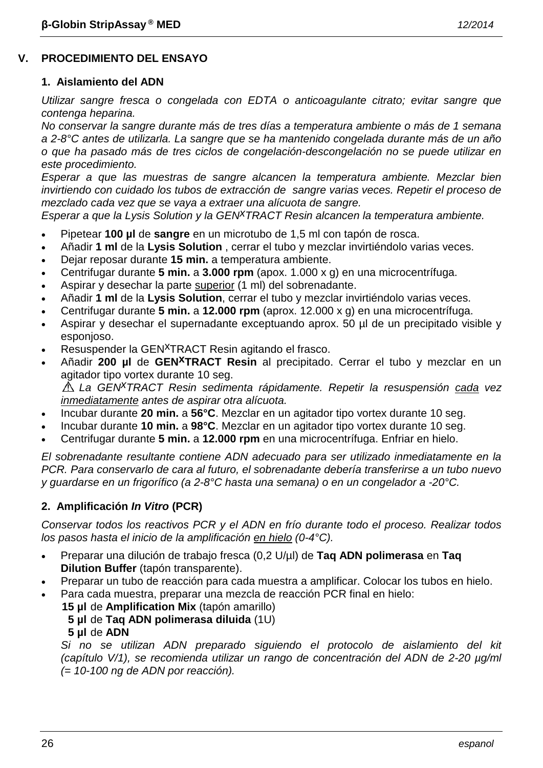# **V. PROCEDIMIENTO DEL ENSAYO**

#### **1. Aislamiento del ADN**

*Utilizar sangre fresca o congelada con EDTA o anticoagulante citrato; evitar sangre que contenga heparina.*

*No conservar la sangre durante más de tres días a temperatura ambiente o más de 1 semana a 2-8°C antes de utilizarla. La sangre que se ha mantenido congelada durante más de un año o que ha pasado más de tres ciclos de congelación-descongelación no se puede utilizar en este procedimiento.*

*Esperar a que las muestras de sangre alcancen la temperatura ambiente. Mezclar bien invirtiendo con cuidado los tubos de extracción de sangre varias veces. Repetir el proceso de mezclado cada vez que se vaya a extraer una alícuota de sangre.*

*Esperar a que la Lysis Solution y la GENxTRACT Resin alcancen la temperatura ambiente.*

- Pipetear **100 µl** de **sangre** en un microtubo de 1,5 ml con tapón de rosca.
- Añadir **1 ml** de la **Lysis Solution** , cerrar el tubo y mezclar invirtiéndolo varias veces.
- Dejar reposar durante **15 min.** a temperatura ambiente.
- Centrifugar durante **5 min.** a **3.000 rpm** (apox. 1.000 x g) en una microcentrífuga.
- Aspirar y desechar la parte superior (1 ml) del sobrenadante.
- Añadir **1 ml** de la **Lysis Solution**, cerrar el tubo y mezclar invirtiéndolo varias veces.
- Centrifugar durante **5 min.** a **12.000 rpm** (aprox. 12.000 x g) en una microcentrífuga.
- Aspirar y desechar el supernadante exceptuando aprox. 50 µl de un precipitado visible y esponjoso.
- Resuspender la GEN<sup>X</sup>TRACT Resin agitando el frasco.
- Añadir **200 µl** de **GENxTRACT Resin** al precipitado. Cerrar el tubo y mezclar en un agitador tipo vortex durante 10 seg.

*La GENxTRACT Resin sedimenta rápidamente. Repetir la resuspensión cada vez inmediatamente antes de aspirar otra alícuota.*

- Incubar durante **20 min.** a **56°C**. Mezclar en un agitador tipo vortex durante 10 seg.
- Incubar durante **10 min.** a **98°C**. Mezclar en un agitador tipo vortex durante 10 seg.
- Centrifugar durante **5 min.** a **12.000 rpm** en una microcentrífuga. Enfriar en hielo.

*El sobrenadante resultante contiene ADN adecuado para ser utilizado inmediatamente en la PCR. Para conservarlo de cara al futuro, el sobrenadante debería transferirse a un tubo nuevo y guardarse en un frigorífico (a 2-8°C hasta una semana) o en un congelador a -20°C.*

# **2. Amplificación** *In Vitro* **(PCR)**

*Conservar todos los reactivos PCR y el ADN en frío durante todo el proceso. Realizar todos los pasos hasta el inicio de la amplificación en hielo (0-4°C).*

- Preparar una dilución de trabajo fresca (0,2 U/µl) de **Taq ADN polimerasa** en **Taq Dilution Buffer** (tapón transparente).
- Preparar un tubo de reacción para cada muestra a amplificar. Colocar los tubos en hielo.
- Para cada muestra, preparar una mezcla de reacción PCR final en hielo:
	- **15 µl** de **Amplification Mix** (tapón amarillo) **5 µl** de **Taq ADN polimerasa diluida** (1U)
		- **5 µl** de **ADN**

*Si no se utilizan ADN preparado siguiendo el protocolo de aislamiento del kit (capítulo V/1), se recomienda utilizar un rango de concentración del ADN de 2-20 µg/ml (= 10-100 ng de ADN por reacción).*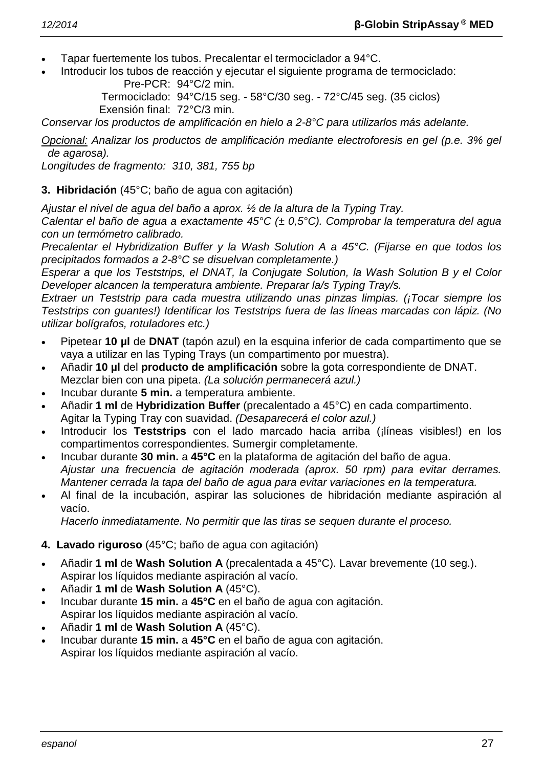- Tapar fuertemente los tubos. Precalentar el termociclador a 94°C.
- Introducir los tubos de reacción y ejecutar el siguiente programa de termociclado: Pre-PCR: 94°C/2 min.

Termociclado: 94°C/15 seg. - 58°C/30 seg. - 72°C/45 seg. (35 ciclos) Exensión final: 72°C/3 min.

*Conservar los productos de amplificación en hielo a 2-8°C para utilizarlos más adelante.*

*Opcional: Analizar los productos de amplificación mediante electroforesis en gel (p.e. 3% gel de agarosa).*

*Longitudes de fragmento: 310, 381, 755 bp*

# **3. Hibridación** (45°C; baño de agua con agitación)

*Ajustar el nivel de agua del baño a aprox. ½ de la altura de la Typing Tray.*

*Calentar el baño de agua a exactamente 45°C (± 0,5°C). Comprobar la temperatura del agua con un termómetro calibrado.*

*Precalentar el Hybridization Buffer y la Wash Solution A a 45°C. (Fijarse en que todos los precipitados formados a 2-8°C se disuelvan completamente.)*

*Esperar a que los Teststrips, el DNAT, la Conjugate Solution, la Wash Solution B y el Color Developer alcancen la temperatura ambiente. Preparar la/s Typing Tray/s.*

*Extraer un Teststrip para cada muestra utilizando unas pinzas limpias. (¡Tocar siempre los Teststrips con guantes!) Identificar los Teststrips fuera de las líneas marcadas con lápiz. (No utilizar bolígrafos, rotuladores etc.)*

- Pipetear **10 µl** de **DNAT** (tapón azul) en la esquina inferior de cada compartimento que se vaya a utilizar en las Typing Trays (un compartimento por muestra).
- Añadir **10 µl** del **producto de amplificación** sobre la gota correspondiente de DNAT. Mezclar bien con una pipeta. *(La solución permanecerá azul.)*
- Incubar durante **5 min.** a temperatura ambiente.
- Añadir **1 ml** de **Hybridization Buffer** (precalentado a 45°C) en cada compartimento. Agitar la Typing Tray con suavidad. *(Desaparecerá el color azul.)*
- Introducir los **Teststrips** con el lado marcado hacia arriba (¡líneas visibles!) en los compartimentos correspondientes. Sumergir completamente.
- Incubar durante **30 min.** a **45°C** en la plataforma de agitación del baño de agua. *Ajustar una frecuencia de agitación moderada (aprox. 50 rpm) para evitar derrames. Mantener cerrada la tapa del baño de agua para evitar variaciones en la temperatura.*
- Al final de la incubación, aspirar las soluciones de hibridación mediante aspiración al vacío.

*Hacerlo inmediatamente. No permitir que las tiras se sequen durante el proceso.*

# **4. Lavado riguroso** (45°C; baño de agua con agitación)

- Añadir **1 ml** de **Wash Solution A** (precalentada a 45°C). Lavar brevemente (10 seg.). Aspirar los líquidos mediante aspiración al vacío.
- Añadir **1 ml** de **Wash Solution A** (45°C).
- Incubar durante **15 min.** a **45°C** en el baño de agua con agitación. Aspirar los líquidos mediante aspiración al vacío.
- Añadir **1 ml** de **Wash Solution A** (45°C).
- Incubar durante **15 min.** a **45°C** en el baño de agua con agitación. Aspirar los líquidos mediante aspiración al vacío.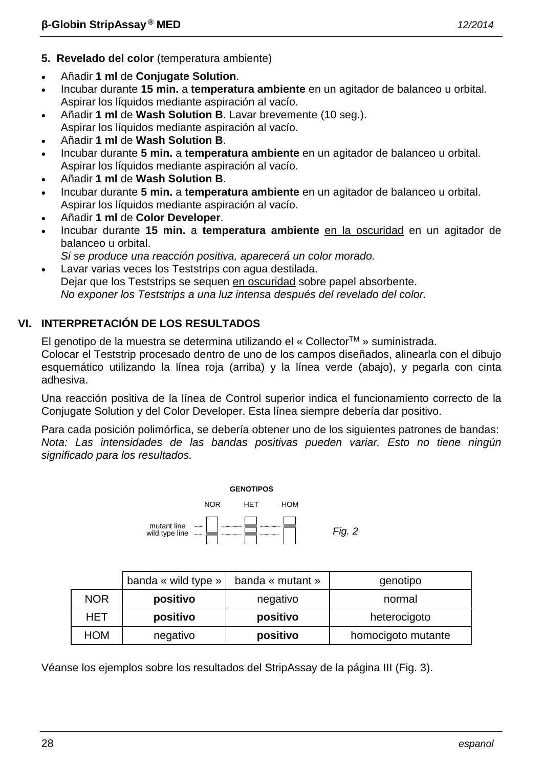- **5. Revelado del color** (temperatura ambiente)
- Añadir **1 ml** de **Conjugate Solution**.
- Incubar durante **15 min.** a **temperatura ambiente** en un agitador de balanceo u orbital. Aspirar los líquidos mediante aspiración al vacío.
- Añadir **1 ml** de **Wash Solution B**. Lavar brevemente (10 seg.). Aspirar los líquidos mediante aspiración al vacío.
- Añadir **1 ml** de **Wash Solution B**.
- Incubar durante **5 min.** a **temperatura ambiente** en un agitador de balanceo u orbital. Aspirar los líquidos mediante aspiración al vacío.
- Añadir **1 ml** de **Wash Solution B**.
- Incubar durante **5 min.** a **temperatura ambiente** en un agitador de balanceo u orbital. Aspirar los líquidos mediante aspiración al vacío.
- Añadir **1 ml** de **Color Developer**.
- Incubar durante **15 min.** a **temperatura ambiente** en la oscuridad en un agitador de balanceo u orbital.
- *Si se produce una reacción positiva, aparecerá un color morado.*
- Lavar varias veces los Teststrips con agua destilada. Dejar que los Teststrips se sequen en oscuridad sobre papel absorbente. *No exponer los Teststrips a una luz intensa después del revelado del color.*

# **VI. INTERPRETACIÓN DE LOS RESULTADOS**

El genotipo de la muestra se determina utilizando el « CollectorTM » suministrada.

Colocar el Teststrip procesado dentro de uno de los campos diseñados, alinearla con el dibujo esquemático utilizando la línea roja (arriba) y la línea verde (abajo), y pegarla con cinta adhesiva.

Una reacción positiva de la línea de Control superior indica el funcionamiento correcto de la Conjugate Solution y del Color Developer. Esta línea siempre debería dar positivo.

Para cada posición polimórfica, se debería obtener uno de los siguientes patrones de bandas: *Nota: Las intensidades de las bandas positivas pueden variar. Esto no tiene ningún significado para los resultados.*



|            | banda « wild type » | banda « mutant » | genotipo           |
|------------|---------------------|------------------|--------------------|
| <b>NOR</b> | positivo            | negativo         | normal             |
| HET        | positivo            | positivo         | heterocigoto       |
| <b>HOM</b> | negativo            | positivo         | homocigoto mutante |

Véanse los ejemplos sobre los resultados del StripAssay de la página III (Fig. 3).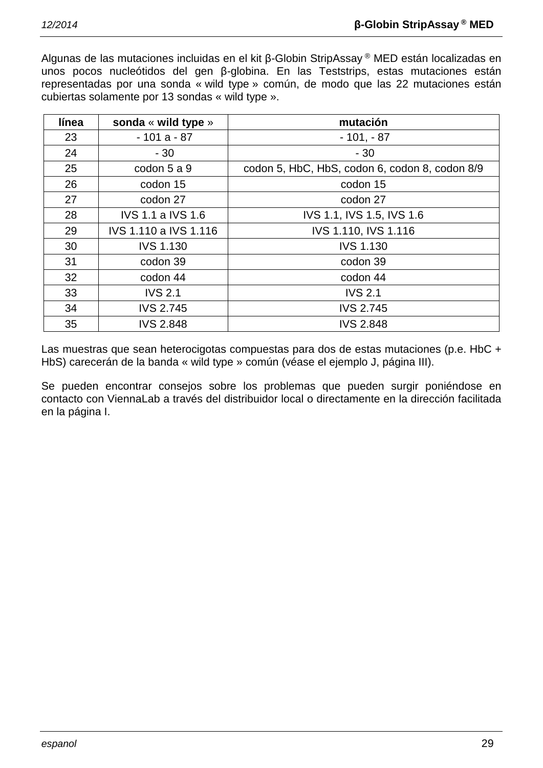Algunas de las mutaciones incluidas en el kit β-Globin StripAssay ® MED están localizadas en unos pocos nucleótidos del gen β-globina. En las Teststrips, estas mutaciones están representadas por una sonda « wild type » común, de modo que las 22 mutaciones están cubiertas solamente por 13 sondas « wild type ».

| línea | sonda « wild type »      | mutación                                       |
|-------|--------------------------|------------------------------------------------|
| 23    | $-101a - 87$             | $-101, -87$                                    |
| 24    | $-30$                    | $-30$                                          |
| 25    | codon 5 a 9              | codon 5, HbC, HbS, codon 6, codon 8, codon 8/9 |
| 26    | codon 15                 | codon 15                                       |
| 27    | codon 27                 | codon 27                                       |
| 28    | <b>IVS 1.1 a IVS 1.6</b> | IVS 1.1, IVS 1.5, IVS 1.6                      |
| 29    | IVS 1.110 a IVS 1.116    | IVS 1.110, IVS 1.116                           |
| 30    | <b>IVS 1.130</b>         | <b>IVS 1.130</b>                               |
| 31    | codon 39                 | codon 39                                       |
| 32    | codon 44                 | codon 44                                       |
| 33    | <b>IVS 2.1</b>           | <b>IVS 2.1</b>                                 |
| 34    | <b>IVS 2.745</b>         | <b>IVS 2.745</b>                               |
| 35    | <b>IVS 2.848</b>         | <b>IVS 2.848</b>                               |

Las muestras que sean heterocigotas compuestas para dos de estas mutaciones (p.e. HbC + HbS) carecerán de la banda « wild type » común (véase el ejemplo J, página III).

Se pueden encontrar consejos sobre los problemas que pueden surgir poniéndose en contacto con ViennaLab a través del distribuidor local o directamente en la dirección facilitada en la página I.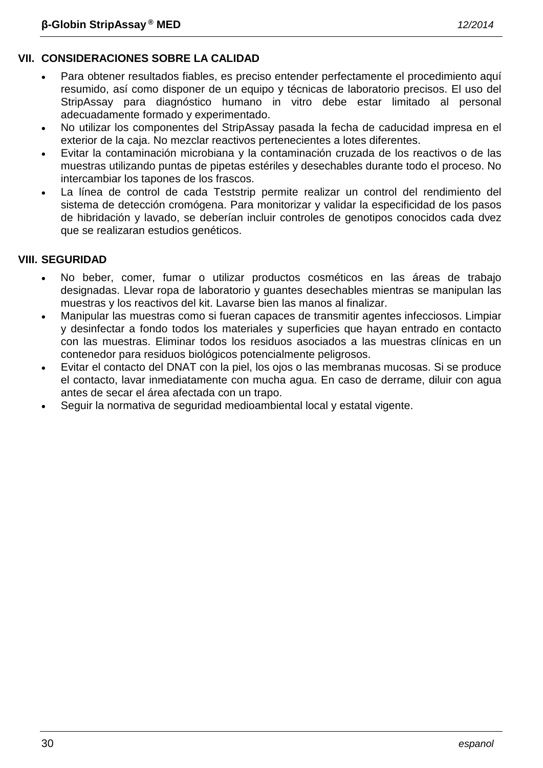- Para obtener resultados fiables, es preciso entender perfectamente el procedimiento aquí resumido, así como disponer de un equipo y técnicas de laboratorio precisos. El uso del StripAssay para diagnóstico humano in vitro debe estar limitado al personal adecuadamente formado y experimentado.
- No utilizar los componentes del StripAssay pasada la fecha de caducidad impresa en el exterior de la caja. No mezclar reactivos pertenecientes a lotes diferentes.
- Evitar la contaminación microbiana y la contaminación cruzada de los reactivos o de las muestras utilizando puntas de pipetas estériles y desechables durante todo el proceso. No intercambiar los tapones de los frascos.
- La línea de control de cada Teststrip permite realizar un control del rendimiento del sistema de detección cromógena. Para monitorizar y validar la especificidad de los pasos de hibridación y lavado, se deberían incluir controles de genotipos conocidos cada dvez que se realizaran estudios genéticos.

# **VIII. SEGURIDAD**

- No beber, comer, fumar o utilizar productos cosméticos en las áreas de trabajo designadas. Llevar ropa de laboratorio y guantes desechables mientras se manipulan las muestras y los reactivos del kit. Lavarse bien las manos al finalizar.
- Manipular las muestras como si fueran capaces de transmitir agentes infecciosos. Limpiar y desinfectar a fondo todos los materiales y superficies que hayan entrado en contacto con las muestras. Eliminar todos los residuos asociados a las muestras clínicas en un contenedor para residuos biológicos potencialmente peligrosos.
- Evitar el contacto del DNAT con la piel, los ojos o las membranas mucosas. Si se produce el contacto, lavar inmediatamente con mucha agua. En caso de derrame, diluir con agua antes de secar el área afectada con un trapo.
- Seguir la normativa de seguridad medioambiental local y estatal vigente.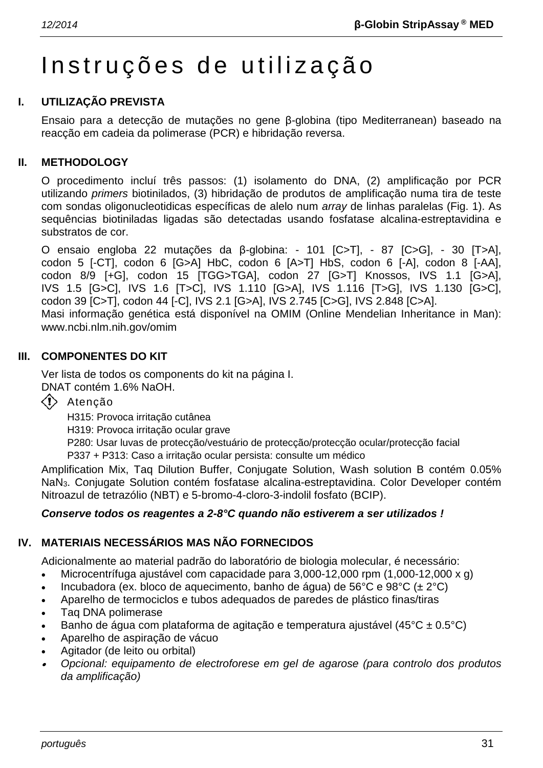# Instruções de utiliz ação

# **I. UTILIZAÇÃO PREVISTA**

Ensaio para a detecção de mutações no gene β-globina (tipo Mediterranean) baseado na reacção em cadeia da polimerase (PCR) e hibridação reversa.

#### **II. METHODOLOGY**

O procedimento incluí três passos: (1) isolamento do DNA, (2) amplificação por PCR utilizando *primers* biotinilados, (3) hibridação de produtos de amplificação numa tira de teste com sondas oligonucleotidicas específicas de alelo num *array* de linhas paralelas (Fig. 1). As sequências biotiniladas ligadas são detectadas usando fosfatase alcalina-estreptavidina e substratos de cor.

O ensaio engloba 22 mutações da β-globina: - 101 [C>T], - 87 [C>G], - 30 [T>A], codon 5 [-CT], codon 6 [G>A] HbC, codon 6 [A>T] HbS, codon 6 [-A], codon 8 [-AA], codon 8/9 [+G], codon 15 [TGG>TGA], codon 27 [G>T] Knossos, IVS 1.1 [G>A], IVS 1.5 [G>C], IVS 1.6 [T>C], IVS 1.110 [G>A], IVS 1.116 [T>G], IVS 1.130 [G>C], codon 39 [C>T], codon 44 [-C], IVS 2.1 [G>A], IVS 2.745 [C>G], IVS 2.848 [C>A]. Masi informação genética está disponível na OMIM (Online Mendelian Inheritance in Man): www.ncbi.nlm.nih.gov/omim

#### **III. COMPONENTES DO KIT**

Ver lista de todos os components do kit na página I. DNAT contém 1.6% NaOH.

 $\langle \cdot \rangle$  Atenção

H315: Provoca irritação cutânea

H319: Provoca irritação ocular grave

P280: Usar luvas de protecção/vestuário de protecção/protecção ocular/protecção facial

P337 + P313: Caso a irritação ocular persista: consulte um médico

Amplification Mix, Taq Dilution Buffer, Conjugate Solution, Wash solution B contém 0.05% NaN3. Conjugate Solution contém fosfatase alcalina-estreptavidina. Color Developer contém Nitroazul de tetrazólio (NBT) e 5-bromo-4-cloro-3-indolil fosfato (BCIP).

#### *Conserve todos os reagentes a 2-8°C quando não estiverem a ser utilizados !*

# **IV. MATERIAIS NECESSÁRIOS MAS NÃO FORNECIDOS**

Adicionalmente ao material padrão do laboratório de biologia molecular, é necessário:

- Microcentrífuga ajustável com capacidade para 3,000-12,000 rpm (1,000-12,000 x g)
- Incubadora (ex. bloco de aquecimento, banho de água) de 56°C e 98°C (± 2°C)
- Aparelho de termociclos e tubos adequados de paredes de plástico finas/tiras
- Taq DNA polimerase
- Banho de água com plataforma de agitação e temperatura ajustável (45°C ± 0.5°C)
- Aparelho de aspiração de vácuo
- Agitador (de leito ou orbital)
- • *Opcional: equipamento de electroforese em gel de agarose (para controlo dos produtos da amplificação)*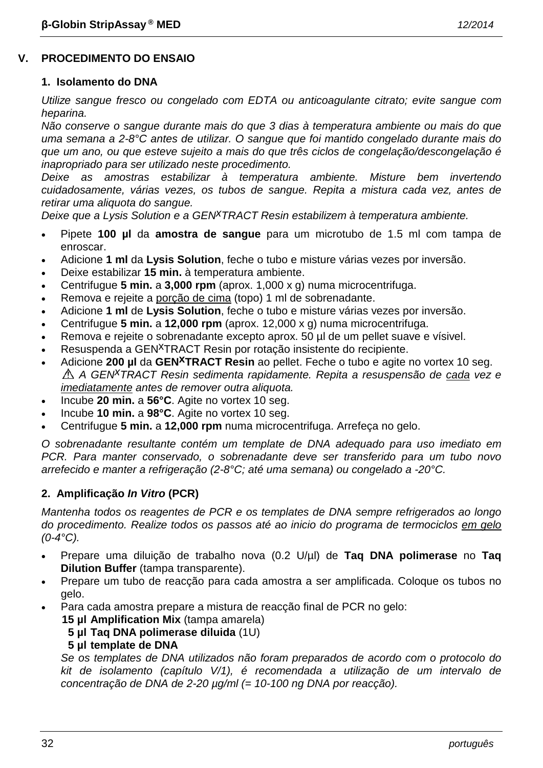# **V. PROCEDIMENTO DO ENSAIO**

#### **1. Isolamento do DNA**

*Utilize sangue fresco ou congelado com EDTA ou anticoagulante citrato; evite sangue com heparina.*

*Não conserve o sangue durante mais do que 3 dias à temperatura ambiente ou mais do que uma semana a 2-8°C antes de utilizar. O sangue que foi mantido congelado durante mais do que um ano, ou que esteve sujeito a mais do que três ciclos de congelação/descongelação é inapropriado para ser utilizado neste procedimento.*

*Deixe as amostras estabilizar à temperatura ambiente. Misture bem invertendo cuidadosamente, várias vezes, os tubos de sangue. Repita a mistura cada vez, antes de retirar uma aliquota do sangue.*

*Deixe que a Lysis Solution e a GENxTRACT Resin estabilizem à temperatura ambiente.*

- Pipete **100 µl** da **amostra de sangue** para um microtubo de 1.5 ml com tampa de enroscar.
- Adicione **1 ml** da **Lysis Solution**, feche o tubo e misture várias vezes por inversão.
- Deixe estabilizar **15 min.** à temperatura ambiente.
- Centrifugue **5 min.** a **3,000 rpm** (aprox. 1,000 x g) numa microcentrifuga.
- Remova e rejeite a porção de cima (topo) 1 ml de sobrenadante.
- Adicione **1 ml** de **Lysis Solution**, feche o tubo e misture várias vezes por inversão.
- Centrifugue **5 min.** a **12,000 rpm** (aprox. 12,000 x g) numa microcentrifuga.
- Remova e rejeite o sobrenadante excepto aprox. 50 µl de um pellet suave e vísivel.
- Resuspenda a GEN<sup>X</sup>TRACT Resin por rotação insistente do recipiente.
- Adicione **200 µl** da **GENxTRACT Resin** ao pellet. Feche o tubo e agite no vortex 10 seg. *A GENxTRACT Resin sedimenta rapidamente. Repita a resuspensão de cada vez e imediatamente antes de remover outra aliquota.*
- Incube **20 min.** a **56°C**. Agite no vortex 10 seg.
- Incube **10 min.** a **98°C**. Agite no vortex 10 seg.
- Centrifugue **5 min.** a **12,000 rpm** numa microcentrifuga. Arrefeça no gelo.

*O sobrenadante resultante contém um template de DNA adequado para uso imediato em PCR. Para manter conservado, o sobrenadante deve ser transferido para um tubo novo arrefecido e manter a refrigeração (2-8°C; até uma semana) ou congelado a -20°C.*

# **2. Amplificação** *In Vitro* **(PCR)**

*Mantenha todos os reagentes de PCR e os templates de DNA sempre refrigerados ao longo do procedimento. Realize todos os passos até ao inicio do programa de termociclos em gelo (0-4°C).*

- Prepare uma diluição de trabalho nova (0.2 U/µl) de **Taq DNA polimerase** no **Taq Dilution Buffer** (tampa transparente).
- Prepare um tubo de reacção para cada amostra a ser amplificada. Coloque os tubos no gelo.
- Para cada amostra prepare a mistura de reacção final de PCR no gelo:

**15 µl Amplification Mix** (tampa amarela)

# **5 µl Taq DNA polimerase diluida** (1U)

#### **5 µl template de DNA**

*Se os templates de DNA utilizados não foram preparados de acordo com o protocolo do kit de isolamento (capítulo V/1), é recomendada a utilização de um intervalo de concentração de DNA de 2-20 µg/ml (= 10-100 ng DNA por reacção).*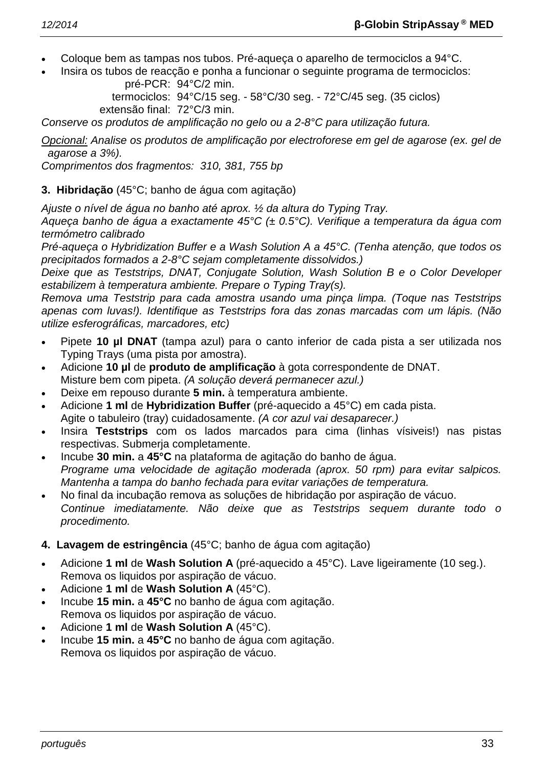- Coloque bem as tampas nos tubos. Pré-aqueça o aparelho de termociclos a 94°C.
- Insira os tubos de reacção e ponha a funcionar o seguinte programa de termociclos: pré-PCR: 94°C/2 min.

termociclos: 94°C/15 seg. - 58°C/30 seg. - 72°C/45 seg. (35 ciclos) extensão final: 72°C/3 min.

*Conserve os produtos de amplificação no gelo ou a 2-8°C para utilização futura.*

*Opcional: Analise os produtos de amplificação por electroforese em gel de agarose (ex. gel de agarose a 3%).*

*Comprimentos dos fragmentos: 310, 381, 755 bp*

# **3. Hibridação** (45°C; banho de água com agitação)

*Ajuste o nível de água no banho até aprox. ½ da altura do Typing Tray.*

*Aqueça banho de água a exactamente 45°C (± 0.5°C). Verifique a temperatura da água com termómetro calibrado*

*Pré-aqueça o Hybridization Buffer e a Wash Solution A a 45°C. (Tenha atenção, que todos os precipitados formados a 2-8°C sejam completamente dissolvidos.)*

*Deixe que as Teststrips, DNAT, Conjugate Solution, Wash Solution B e o Color Developer estabilizem à temperatura ambiente. Prepare o Typing Tray(s).*

*Remova uma Teststrip para cada amostra usando uma pinça limpa. (Toque nas Teststrips apenas com luvas!). Identifique as Teststrips fora das zonas marcadas com um lápis. (Não utilize esferográficas, marcadores, etc)*

- Pipete **10 µl DNAT** (tampa azul) para o canto inferior de cada pista a ser utilizada nos Typing Trays (uma pista por amostra).
- Adicione **10 µl** de **produto de amplificação** à gota correspondente de DNAT. Misture bem com pipeta. *(A solução deverá permanecer azul.)*
- Deixe em repouso durante **5 min.** à temperatura ambiente.
- Adicione **1 ml** de **Hybridization Buffer** (pré-aquecido a 45°C) em cada pista. Agite o tabuleiro (tray) cuidadosamente. *(A cor azul vai desaparecer.)*
- Insira **Teststrips** com os lados marcados para cima (linhas vísiveis!) nas pistas respectivas. Submerja completamente.
- Incube **30 min.** a **45°C** na plataforma de agitação do banho de água. *Programe uma velocidade de agitação moderada (aprox. 50 rpm) para evitar salpicos. Mantenha a tampa do banho fechada para evitar variações de temperatura.*
- No final da incubação remova as soluções de hibridação por aspiração de vácuo. *Continue imediatamente. Não deixe que as Teststrips sequem durante todo o procedimento.*

# **4. Lavagem de estringência** (45°C; banho de água com agitação)

- Adicione **1 ml** de **Wash Solution A** (pré-aquecido a 45°C). Lave ligeiramente (10 seg.). Remova os liquidos por aspiração de vácuo.
- Adicione **1 ml** de **Wash Solution A** (45°C).
- Incube **15 min.** a **45°C** no banho de água com agitação. Remova os liquidos por aspiração de vácuo.
- Adicione **1 ml** de **Wash Solution A** (45°C).
- Incube **15 min.** a **45°C** no banho de água com agitação. Remova os liquidos por aspiração de vácuo.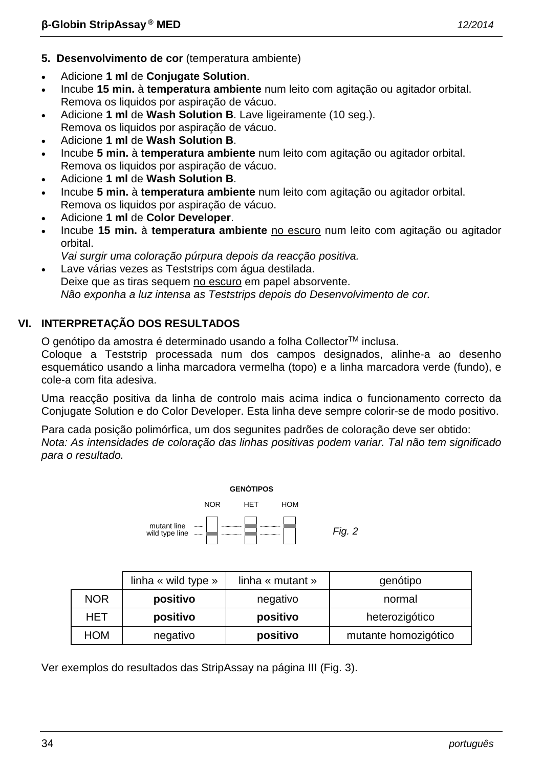- **5. Desenvolvimento de cor** (temperatura ambiente)
- Adicione **1 ml** de **Conjugate Solution**.
- Incube **15 min.** à **temperatura ambiente** num leito com agitação ou agitador orbital. Remova os liquidos por aspiração de vácuo.
- Adicione **1 ml** de **Wash Solution B**. Lave ligeiramente (10 seg.). Remova os liquidos por aspiração de vácuo.
- Adicione **1 ml** de **Wash Solution B**.
- Incube **5 min.** à **temperatura ambiente** num leito com agitação ou agitador orbital. Remova os liquidos por aspiração de vácuo.
- Adicione **1 ml** de **Wash Solution B**.
- Incube **5 min.** à **temperatura ambiente** num leito com agitação ou agitador orbital. Remova os liquidos por aspiração de vácuo.
- Adicione **1 ml** de **Color Developer**.
- Incube **15 min.** à **temperatura ambiente** no escuro num leito com agitação ou agitador orbital.
- *Vai surgir uma coloração púrpura depois da reacção positiva.*
- Lave várias vezes as Teststrips com água destilada. Deixe que as tiras sequem no escuro em papel absorvente. *Não exponha a luz intensa as Teststrips depois do Desenvolvimento de cor.*

# **VI. INTERPRETAÇÃO DOS RESULTADOS**

O genótipo da amostra é determinado usando a folha Collector<sup>™</sup> inclusa.

Coloque a Teststrip processada num dos campos designados, alinhe-a ao desenho esquemático usando a linha marcadora vermelha (topo) e a linha marcadora verde (fundo), e cole-a com fita adesiva.

Uma reacção positiva da linha de controlo mais acima indica o funcionamento correcto da Conjugate Solution e do Color Developer. Esta linha deve sempre colorir-se de modo positivo.

Para cada posição polimórfica, um dos segunites padrões de coloração deve ser obtido: *Nota: As intensidades de coloração das linhas positivas podem variar. Tal não tem significado para o resultado.*



|            | linha « wild type » | linha « mutant » | genótipo             |
|------------|---------------------|------------------|----------------------|
| <b>NOR</b> | positivo            | negativo         | normal               |
| HET        | positivo            | positivo         | heterozigótico       |
| HOM        | negativo            | positivo         | mutante homozigótico |

Ver exemplos do resultados das StripAssay na página III (Fig. 3).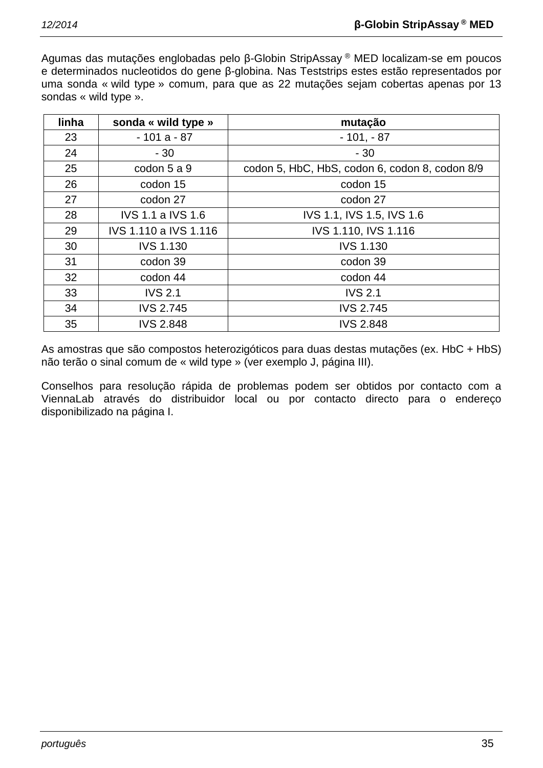Agumas das mutações englobadas pelo β-Globin StripAssay ® MED localizam-se em poucos e determinados nucleotidos do gene β-globina. Nas Teststrips estes estão representados por uma sonda « wild type » comum, para que as 22 mutações sejam cobertas apenas por 13 sondas « wild type ».

| linha | sonda « wild type »      | mutação                                        |
|-------|--------------------------|------------------------------------------------|
| 23    | $-101a - 87$             | $-101, -87$                                    |
| 24    | $-30$                    | $-30$                                          |
| 25    | codon 5 a 9              | codon 5, HbC, HbS, codon 6, codon 8, codon 8/9 |
| 26    | codon 15                 | codon 15                                       |
| 27    | codon 27                 | codon 27                                       |
| 28    | <b>IVS 1.1 a IVS 1.6</b> | IVS 1.1, IVS 1.5, IVS 1.6                      |
| 29    | IVS 1.110 a IVS 1.116    | IVS 1.110, IVS 1.116                           |
| 30    | <b>IVS 1.130</b>         | <b>IVS 1.130</b>                               |
| 31    | codon 39                 | codon 39                                       |
| 32    | codon 44                 | codon 44                                       |
| 33    | <b>IVS 2.1</b>           | <b>IVS 2.1</b>                                 |
| 34    | <b>IVS 2.745</b>         | <b>IVS 2.745</b>                               |
| 35    | <b>IVS 2.848</b>         | <b>IVS 2.848</b>                               |

As amostras que são compostos heterozigóticos para duas destas mutações (ex. HbC + HbS) não terão o sinal comum de « wild type » (ver exemplo J, página III).

Conselhos para resolução rápida de problemas podem ser obtidos por contacto com a ViennaLab através do distribuidor local ou por contacto directo para o endereço disponibilizado na página I.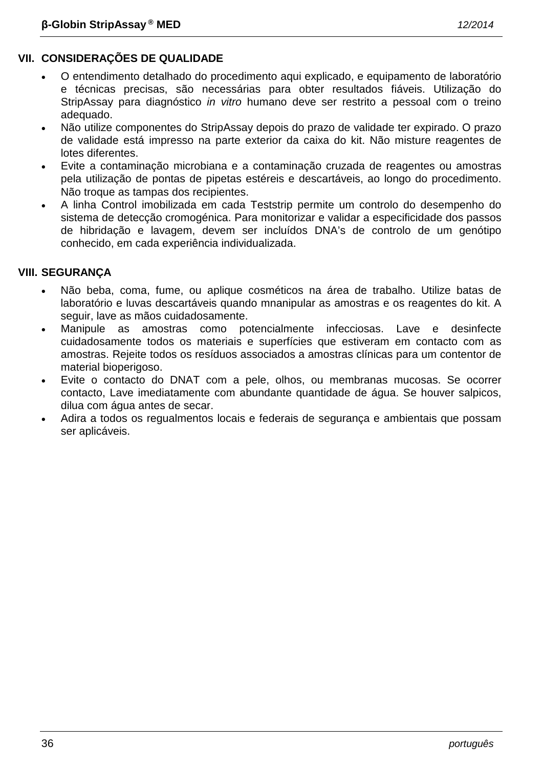- O entendimento detalhado do procedimento aqui explicado, e equipamento de laboratório e técnicas precisas, são necessárias para obter resultados fiáveis. Utilização do StripAssay para diagnóstico *in vitro* humano deve ser restrito a pessoal com o treino adequado.
- Não utilize componentes do StripAssay depois do prazo de validade ter expirado. O prazo de validade está impresso na parte exterior da caixa do kit. Não misture reagentes de lotes diferentes.
- Evite a contaminação microbiana e a contaminação cruzada de reagentes ou amostras pela utilização de pontas de pipetas estéreis e descartáveis, ao longo do procedimento. Não troque as tampas dos recipientes.
- A linha Control imobilizada em cada Teststrip permite um controlo do desempenho do sistema de detecção cromogénica. Para monitorizar e validar a especificidade dos passos de hibridação e lavagem, devem ser incluídos DNA's de controlo de um genótipo conhecido, em cada experiência individualizada.

# **VIII. SEGURANÇA**

- Não beba, coma, fume, ou aplique cosméticos na área de trabalho. Utilize batas de laboratório e luvas descartáveis quando mnanipular as amostras e os reagentes do kit. A seguir, lave as mãos cuidadosamente.
- Manipule as amostras como potencialmente infecciosas. Lave e desinfecte cuidadosamente todos os materiais e superfícies que estiveram em contacto com as amostras. Rejeite todos os resíduos associados a amostras clínicas para um contentor de material bioperigoso.
- Evite o contacto do DNAT com a pele, olhos, ou membranas mucosas. Se ocorrer contacto, Lave imediatamente com abundante quantidade de água. Se houver salpicos, dilua com água antes de secar.
- Adira a todos os regualmentos locais e federais de segurança e ambientais que possam ser aplicáveis.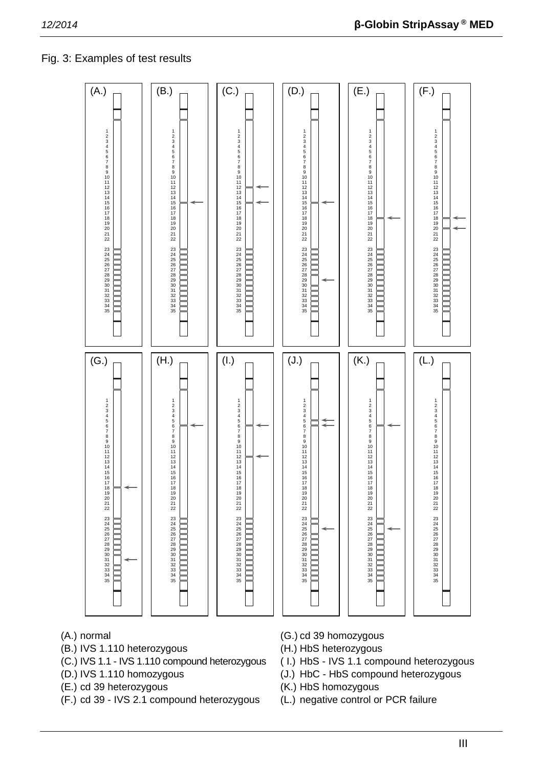# Fig. 3: Examples of test results



- 
- (B.) IVS 1.110 heterozygous (H.) HbS heterozygous
- (C.) IVS 1.1 IVS 1.110 compound heterozygous ( I.) HbS IVS 1.1 compound heterozygous
- 
- (E.) cd 39 heterozygous (K.) HbS homozygous
- (F.) cd 39 IVS 2.1 compound heterozygous (L.) negative control or PCR failure
- (A.) normal (G.) cd 39 homozygous
	-
	-
- (D.) IVS 1.110 homozygous (J.) HbC HbS compound heterozygous
	-
	-